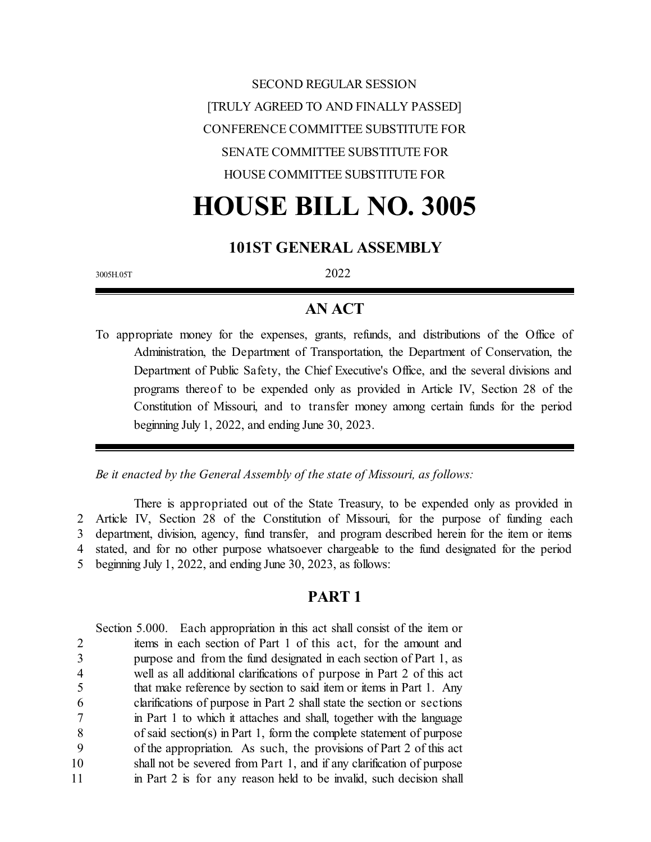SECOND REGULAR SESSION [TRULY AGREED TO AND FINALLY PASSED] CONFERENCE COMMITTEE SUBSTITUTE FOR SENATE COMMITTEE SUBSTITUTE FOR HOUSE COMMITTEE SUBSTITUTE FOR

# **HOUSE BILL NO. 3005**

## **101ST GENERAL ASSEMBLY**

3005H.05T 2022

## **AN ACT**

To appropriate money for the expenses, grants, refunds, and distributions of the Office of Administration, the Department of Transportation, the Department of Conservation, the Department of Public Safety, the Chief Executive's Office, and the several divisions and programs thereof to be expended only as provided in Article IV, Section 28 of the Constitution of Missouri, and to transfer money among certain funds for the period beginning July 1, 2022, and ending June 30, 2023.

*Be it enacted by the General Assembly of the state of Missouri, as follows:*

There is appropriated out of the State Treasury, to be expended only as provided in Article IV, Section 28 of the Constitution of Missouri, for the purpose of funding each department, division, agency, fund transfer, and program described herein for the item or items stated, and for no other purpose whatsoever chargeable to the fund designated for the period beginning July 1, 2022, and ending June 30, 2023, as follows:

#### **PART 1**

Section 5.000. Each appropriation in this act shall consist of the item or items in each section of Part 1 of this act, for the amount and purpose and from the fund designated in each section of Part 1, as well as all additional clarifications of purpose in Part 2 of this act that make reference by section to said item or items in Part 1. Any clarifications of purpose in Part 2 shall state the section or sections in Part 1 to which it attaches and shall, together with the language of said section(s) in Part 1, form the complete statement of purpose of the appropriation. As such, the provisions of Part 2 of this act shall not be severed from Part 1, and if any clarification of purpose 11 in Part 2 is for any reason held to be invalid, such decision shall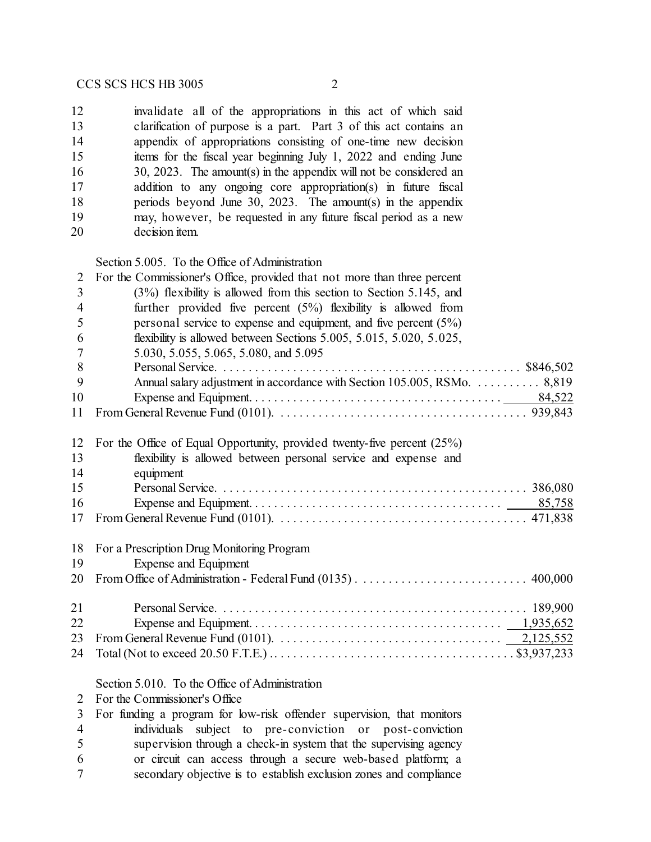invalidate all of the appropriations in this act of which said clarification of purpose is a part. Part 3 of this act contains an appendix of appropriations consisting of one-time new decision items for the fiscal year beginning July 1, 2022 and ending June 30, 2023. The amount(s) in the appendix will not be considered an 17 addition to any ongoing core appropriation(s) in future fiscal periods beyond June 30, 2023. The amount(s) in the appendix may, however, be requested in any future fiscal period as a new decision item.

Section 5.005. To the Office of Administration

| $\overline{2}$ | For the Commissioner's Office, provided that not more than three percent                                                          |
|----------------|-----------------------------------------------------------------------------------------------------------------------------------|
| 3              | $(3%)$ flexibility is allowed from this section to Section 5.145, and                                                             |
| $\overline{4}$ | further provided five percent $(5%)$ flexibility is allowed from                                                                  |
| 5              | personal service to expense and equipment, and five percent $(5\%)$                                                               |
| 6              | flexibility is allowed between Sections 5.005, 5.015, 5.020, 5.025,                                                               |
| 7              | 5.030, 5.055, 5.065, 5.080, and 5.095                                                                                             |
| 8              |                                                                                                                                   |
| 9              | Annual salary adjustment in accordance with Section 105.005, RSMo. 8,819                                                          |
| 10             |                                                                                                                                   |
| 11             |                                                                                                                                   |
| 12             | For the Office of Equal Opportunity, provided twenty-five percent $(25%)$                                                         |
| 13             | flexibility is allowed between personal service and expense and                                                                   |
| 14             | equipment                                                                                                                         |
| 15             |                                                                                                                                   |
| 16             |                                                                                                                                   |
| 17             | From General Revenue Fund (0101). $\ldots \ldots \ldots \ldots \ldots \ldots \ldots \ldots \ldots \ldots \ldots \ldots$ 471,838   |
| 18             | For a Prescription Drug Monitoring Program                                                                                        |
| 19             | Expense and Equipment                                                                                                             |
| 20             |                                                                                                                                   |
| 21             |                                                                                                                                   |
| 22             |                                                                                                                                   |
| 23             | From General Revenue Fund (0101). $\ldots \ldots \ldots \ldots \ldots \ldots \ldots \ldots \ldots \ldots \ldots \qquad 2,125,552$ |
| 24             |                                                                                                                                   |
|                | Section 5.010. To the Office of Administration                                                                                    |
| 2              | For the Commissioner's Office                                                                                                     |
| 3              | For funding a program for low-risk offender supervision, that monitors                                                            |
|                | individuals subject to pre-conviction or nost-conviction                                                                          |

- 4 individuals subject to pre-conviction or post-conviction<br>5 supervision through a check-in system that the supervising agency supervision through a check-in system that the supervising agency
- or circuit can access through a secure web-based platform; a
- secondary objective is to establish exclusion zones and compliance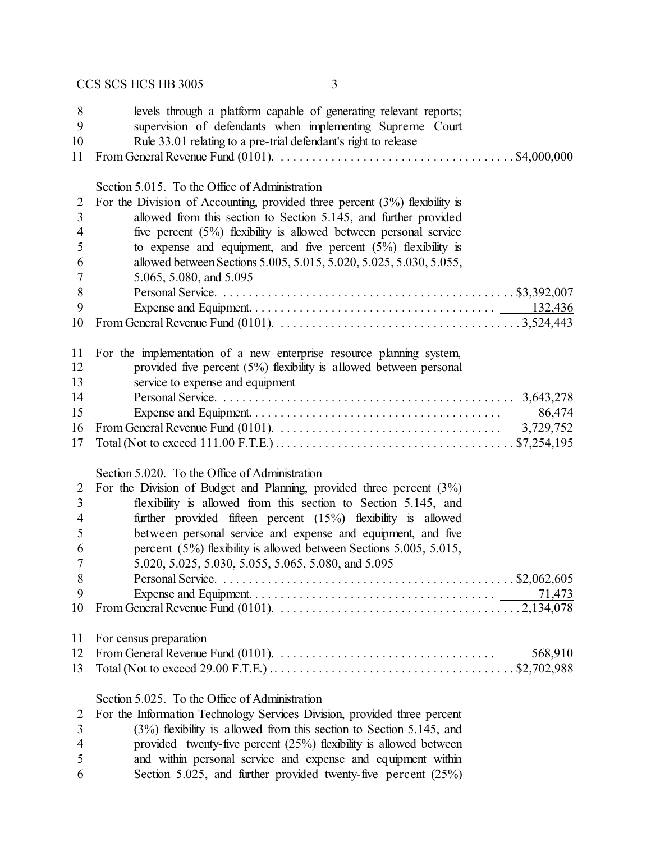| 8<br>9<br>10<br>11  | levels through a platform capable of generating relevant reports;<br>supervision of defendants when implementing Supreme Court<br>Rule 33.01 relating to a pre-trial defendant's right to release<br>From General Revenue Fund (0101). $\ldots \ldots \ldots \ldots \ldots \ldots \ldots \ldots \ldots \ldots \ldots$ \$4,000,000 |
|---------------------|-----------------------------------------------------------------------------------------------------------------------------------------------------------------------------------------------------------------------------------------------------------------------------------------------------------------------------------|
|                     |                                                                                                                                                                                                                                                                                                                                   |
|                     | Section 5.015. To the Office of Administration                                                                                                                                                                                                                                                                                    |
| $\overline{2}$      | For the Division of Accounting, provided three percent $(3%)$ flexibility is                                                                                                                                                                                                                                                      |
| 3<br>$\overline{4}$ | allowed from this section to Section 5.145, and further provided<br>five percent (5%) flexibility is allowed between personal service                                                                                                                                                                                             |
| 5                   | to expense and equipment, and five percent $(5%)$ flexibility is                                                                                                                                                                                                                                                                  |
| 6                   | allowed between Sections 5.005, 5.015, 5.020, 5.025, 5.030, 5.055,                                                                                                                                                                                                                                                                |
| 7                   | 5.065, 5.080, and 5.095                                                                                                                                                                                                                                                                                                           |
| 8                   |                                                                                                                                                                                                                                                                                                                                   |
| 9                   |                                                                                                                                                                                                                                                                                                                                   |
| 10                  |                                                                                                                                                                                                                                                                                                                                   |
| 11                  | For the implementation of a new enterprise resource planning system,                                                                                                                                                                                                                                                              |
| 12                  | provided five percent $(5%)$ flexibility is allowed between personal                                                                                                                                                                                                                                                              |
| 13                  | service to expense and equipment                                                                                                                                                                                                                                                                                                  |
| 14                  |                                                                                                                                                                                                                                                                                                                                   |
| 15                  | 86,474                                                                                                                                                                                                                                                                                                                            |
| 16                  | From General Revenue Fund (0101). $\ldots \ldots \ldots \ldots \ldots \ldots \ldots \ldots \ldots \ldots \ldots \ldots \ldots$ 3,729,752                                                                                                                                                                                          |
| 17                  | Total (Not to exceed 111.00 F.T.E.) $\dots \dots \dots \dots \dots \dots \dots \dots \dots \dots \dots \dots \dots \dots \$ \$7,254,195                                                                                                                                                                                           |
|                     | Section 5.020. To the Office of Administration                                                                                                                                                                                                                                                                                    |
| 2                   | For the Division of Budget and Planning, provided three percent $(3%)$                                                                                                                                                                                                                                                            |
| 3                   | flexibility is allowed from this section to Section 5.145, and                                                                                                                                                                                                                                                                    |
| 4                   | further provided fifteen percent $(15%)$ flexibility is allowed                                                                                                                                                                                                                                                                   |
| 5                   | between personal service and expense and equipment, and five                                                                                                                                                                                                                                                                      |
| 6                   | percent (5%) flexibility is allowed between Sections 5.005, 5.015,                                                                                                                                                                                                                                                                |
| 7                   | 5.020, 5.025, 5.030, 5.055, 5.065, 5.080, and 5.095                                                                                                                                                                                                                                                                               |
| 8                   |                                                                                                                                                                                                                                                                                                                                   |
| 9<br>10             |                                                                                                                                                                                                                                                                                                                                   |
|                     |                                                                                                                                                                                                                                                                                                                                   |
| 11                  | For census preparation                                                                                                                                                                                                                                                                                                            |
| 12                  | 568,910                                                                                                                                                                                                                                                                                                                           |
| 13                  |                                                                                                                                                                                                                                                                                                                                   |
|                     | Section 5.025. To the Office of Administration                                                                                                                                                                                                                                                                                    |
| $\overline{2}$      | For the Information Technology Services Division, provided three percent                                                                                                                                                                                                                                                          |
| 3                   | $(3%)$ flexibility is allowed from this section to Section 5.145, and                                                                                                                                                                                                                                                             |
| $\overline{4}$<br>5 | provided twenty-five percent $(25%)$ flexibility is allowed between<br>and within personal service and expense and equipment within                                                                                                                                                                                               |
|                     |                                                                                                                                                                                                                                                                                                                                   |

5 and within personal service and expense and equipment within 6 Section 5.025, and further provided twenty-five percent (25%) Section 5.025, and further provided twenty-five percent (25%)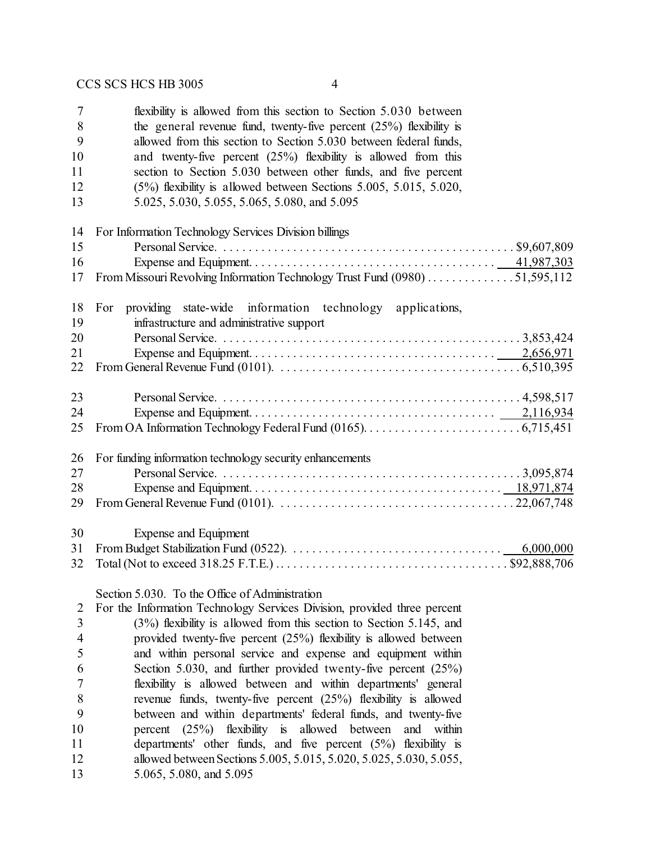| $\overline{7}$<br>8<br>9 | flexibility is allowed from this section to Section 5.030 between<br>the general revenue fund, twenty-five percent $(25%)$ flexibility is<br>allowed from this section to Section 5.030 between federal funds, |
|--------------------------|----------------------------------------------------------------------------------------------------------------------------------------------------------------------------------------------------------------|
| 10                       | and twenty-five percent $(25%)$ flexibility is allowed from this                                                                                                                                               |
| 11                       | section to Section 5.030 between other funds, and five percent                                                                                                                                                 |
| 12                       | $(5\%)$ flexibility is allowed between Sections 5.005, 5.015, 5.020,                                                                                                                                           |
| 13                       | 5.025, 5.030, 5.055, 5.065, 5.080, and 5.095                                                                                                                                                                   |
| 14                       | For Information Technology Services Division billings                                                                                                                                                          |
| 15                       |                                                                                                                                                                                                                |
| 16                       |                                                                                                                                                                                                                |
| 17                       | From Missouri Revolving Information Technology Trust Fund (0980) 51,595,112                                                                                                                                    |
| 18                       | providing state-wide information technology applications,<br>For                                                                                                                                               |
| 19                       | infrastructure and administrative support                                                                                                                                                                      |
| 20                       |                                                                                                                                                                                                                |
| 21                       |                                                                                                                                                                                                                |
| 22                       | From General Revenue Fund (0101). $\ldots \ldots \ldots \ldots \ldots \ldots \ldots \ldots \ldots \ldots \ldots \ldots \ldots$ . 6,510,395                                                                     |
| 23                       |                                                                                                                                                                                                                |
| 24                       |                                                                                                                                                                                                                |
| 25                       |                                                                                                                                                                                                                |
| 26                       | For funding information technology security enhancements                                                                                                                                                       |
| 27                       |                                                                                                                                                                                                                |
| 28                       |                                                                                                                                                                                                                |
| 29                       | From General Revenue Fund (0101). $\ldots \ldots \ldots \ldots \ldots \ldots \ldots \ldots \ldots \ldots \ldots \ldots \ldots 22,067,748$                                                                      |
| 30                       | Expense and Equipment                                                                                                                                                                                          |
| 31                       |                                                                                                                                                                                                                |
| 32                       |                                                                                                                                                                                                                |
|                          | Section 5.030. To the Office of Administration                                                                                                                                                                 |
| $\overline{2}$           | For the Information Technology Services Division, provided three percent                                                                                                                                       |

 (3%) flexibility is allowed from this section to Section 5.145, and provided twenty-five percent (25%) flexibility is allowed between and within personal service and expense and equipment within Section 5.030, and further provided twenty-five percent (25%) flexibility is allowed between and within departments' general revenue funds, twenty-five percent (25%) flexibility is allowed between and within departments' federal funds, and twenty-five percent (25%) flexibility is allowed between and within departments' other funds, and five percent (5%) flexibility is 12 allowed between Sections 5.005, 5.015, 5.020, 5.025, 5.030, 5.055, 5.065, 5.080, and 5.095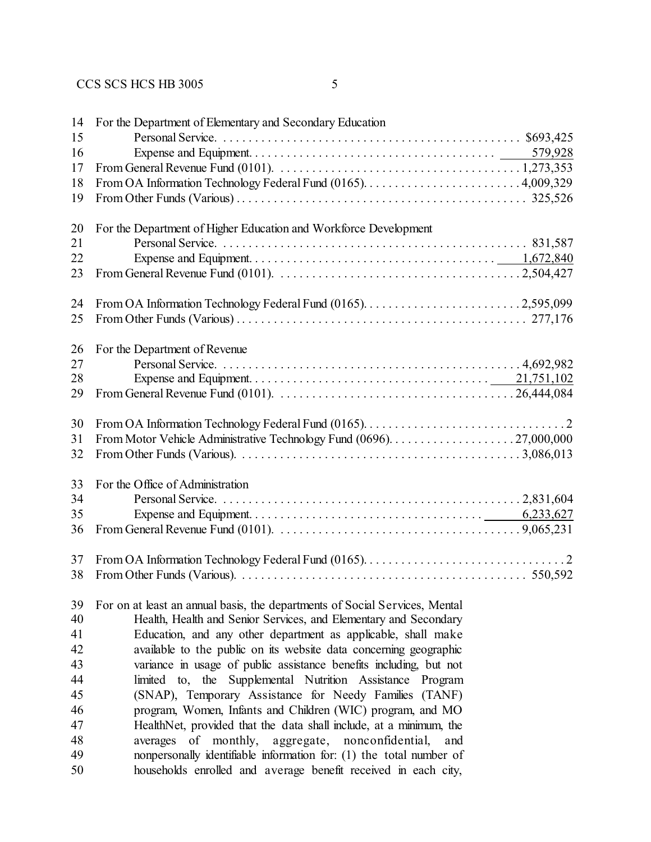|   |                | I      |  |
|---|----------------|--------|--|
| × |                |        |  |
|   |                |        |  |
| × | ۰.<br>۰.<br>۰. | ٠<br>i |  |

| 14 | For the Department of Elementary and Secondary Education                    |
|----|-----------------------------------------------------------------------------|
| 15 |                                                                             |
| 16 |                                                                             |
| 17 |                                                                             |
| 18 |                                                                             |
| 19 |                                                                             |
|    |                                                                             |
| 20 | For the Department of Higher Education and Workforce Development            |
| 21 |                                                                             |
| 22 |                                                                             |
| 23 |                                                                             |
|    |                                                                             |
| 24 |                                                                             |
| 25 |                                                                             |
|    |                                                                             |
| 26 | For the Department of Revenue                                               |
| 27 |                                                                             |
| 28 |                                                                             |
| 29 |                                                                             |
|    |                                                                             |
| 30 |                                                                             |
|    |                                                                             |
| 31 |                                                                             |
| 32 |                                                                             |
| 33 |                                                                             |
| 34 | For the Office of Administration                                            |
|    |                                                                             |
| 35 |                                                                             |
| 36 |                                                                             |
|    |                                                                             |
| 37 |                                                                             |
| 38 |                                                                             |
|    |                                                                             |
| 39 | For on at least an annual basis, the departments of Social Services, Mental |
| 40 | Health, Health and Senior Services, and Elementary and Secondary            |
| 41 | Education, and any other department as applicable, shall make               |
| 42 | available to the public on its website data concerning geographic           |
| 43 | variance in usage of public assistance benefits including, but not          |
| 44 | limited to, the<br>Supplemental Nutrition Assistance<br>Program             |
| 45 | (SNAP), Temporary Assistance for Needy Families (TANF)                      |
| 46 | program, Women, Infants and Children (WIC) program, and MO                  |
| 47 | HealthNet, provided that the data shall include, at a minimum, the          |
| 48 | averages of monthly,<br>aggregate, nonconfidential,<br>and                  |
| 49 | nonpersonally identifiable information for: (1) the total number of         |
| 50 | households enrolled and average benefit received in each city,              |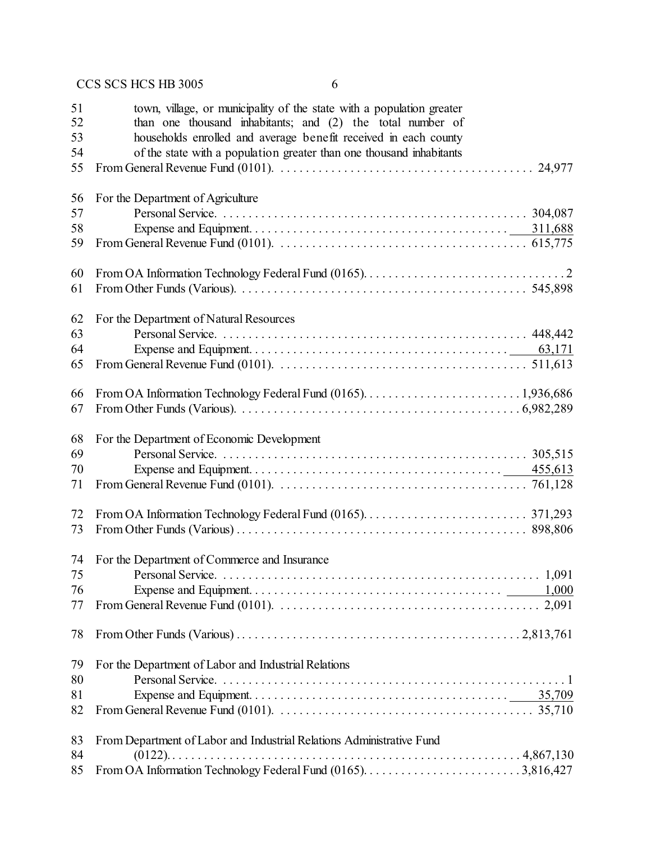| 51<br>52 | town, village, or municipality of the state with a population greater<br>than one thousand inhabitants; and (2) the total number of |
|----------|-------------------------------------------------------------------------------------------------------------------------------------|
| 53       | households enrolled and average benefit received in each county                                                                     |
| 54       | of the state with a population greater than one thousand inhabitants                                                                |
| 55       |                                                                                                                                     |
|          |                                                                                                                                     |
| 56       | For the Department of Agriculture                                                                                                   |
| 57       |                                                                                                                                     |
| 58       |                                                                                                                                     |
| 59       |                                                                                                                                     |
|          |                                                                                                                                     |
| 60       |                                                                                                                                     |
| 61       |                                                                                                                                     |
|          |                                                                                                                                     |
| 62       | For the Department of Natural Resources                                                                                             |
| 63       |                                                                                                                                     |
| 64       |                                                                                                                                     |
| 65       |                                                                                                                                     |
|          |                                                                                                                                     |
| 66       |                                                                                                                                     |
| 67       |                                                                                                                                     |
| 68       | For the Department of Economic Development                                                                                          |
| 69       |                                                                                                                                     |
| 70       |                                                                                                                                     |
| 71       |                                                                                                                                     |
|          |                                                                                                                                     |
| 72       |                                                                                                                                     |
| 73       |                                                                                                                                     |
|          |                                                                                                                                     |
| 74       | For the Department of Commerce and Insurance                                                                                        |
| 75       | 1,091<br>Personal Service.                                                                                                          |
| 76       |                                                                                                                                     |
| 77       |                                                                                                                                     |
|          |                                                                                                                                     |
| 78       |                                                                                                                                     |
|          |                                                                                                                                     |
| 79       | For the Department of Labor and Industrial Relations                                                                                |
| 80       |                                                                                                                                     |
| 81       |                                                                                                                                     |
| 82       |                                                                                                                                     |
|          |                                                                                                                                     |
| 83       | From Department of Labor and Industrial Relations Administrative Fund                                                               |
| 84       |                                                                                                                                     |
| 85       |                                                                                                                                     |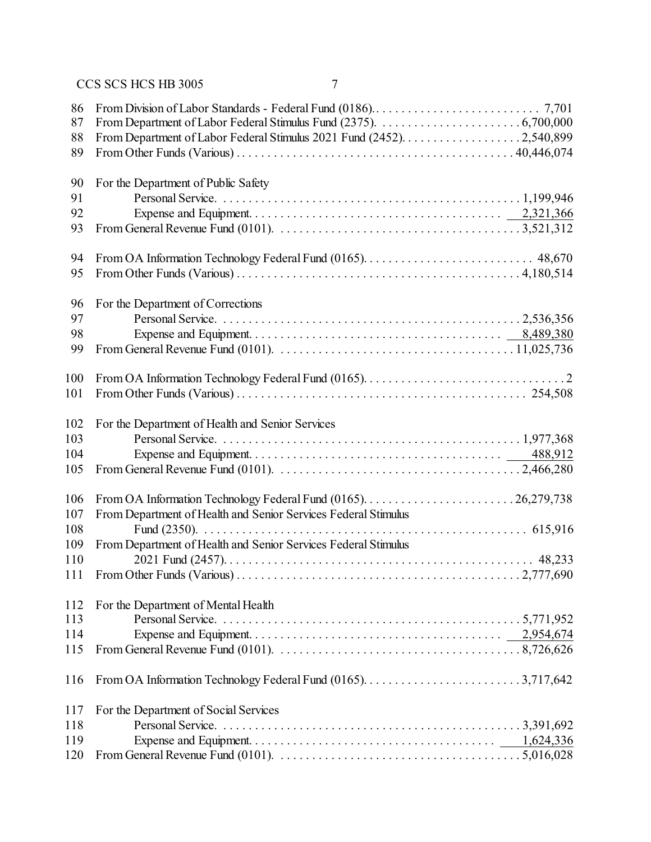| 86  |                                                                                                                                           |
|-----|-------------------------------------------------------------------------------------------------------------------------------------------|
| 87  |                                                                                                                                           |
| 88  |                                                                                                                                           |
| 89  |                                                                                                                                           |
|     |                                                                                                                                           |
| 90  | For the Department of Public Safety                                                                                                       |
| 91  |                                                                                                                                           |
| 92  |                                                                                                                                           |
| 93  |                                                                                                                                           |
|     |                                                                                                                                           |
| 94  |                                                                                                                                           |
| 95  |                                                                                                                                           |
|     |                                                                                                                                           |
| 96  | For the Department of Corrections                                                                                                         |
| 97  |                                                                                                                                           |
| 98  |                                                                                                                                           |
| 99  | From General Revenue Fund (0101). $\ldots \ldots \ldots \ldots \ldots \ldots \ldots \ldots \ldots \ldots \ldots \ldots \ldots 11,025,736$ |
|     |                                                                                                                                           |
| 100 |                                                                                                                                           |
| 101 |                                                                                                                                           |
|     |                                                                                                                                           |
| 102 | For the Department of Health and Senior Services                                                                                          |
| 103 |                                                                                                                                           |
| 104 |                                                                                                                                           |
| 105 |                                                                                                                                           |
|     |                                                                                                                                           |
| 106 |                                                                                                                                           |
| 107 | From Department of Health and Senior Services Federal Stimulus                                                                            |
| 108 |                                                                                                                                           |
| 109 | From Department of Health and Senior Services Federal Stimulus                                                                            |
| 110 |                                                                                                                                           |
| 111 |                                                                                                                                           |
|     |                                                                                                                                           |
| 112 | For the Department of Mental Health                                                                                                       |
| 113 |                                                                                                                                           |
| 114 |                                                                                                                                           |
| 115 | From General Revenue Fund (0101). $\ldots \ldots \ldots \ldots \ldots \ldots \ldots \ldots \ldots \ldots \ldots \ldots \ldots 8,726,626$  |
|     |                                                                                                                                           |
| 116 |                                                                                                                                           |
| 117 | For the Department of Social Services                                                                                                     |
| 118 |                                                                                                                                           |
| 119 |                                                                                                                                           |
| 120 |                                                                                                                                           |
|     |                                                                                                                                           |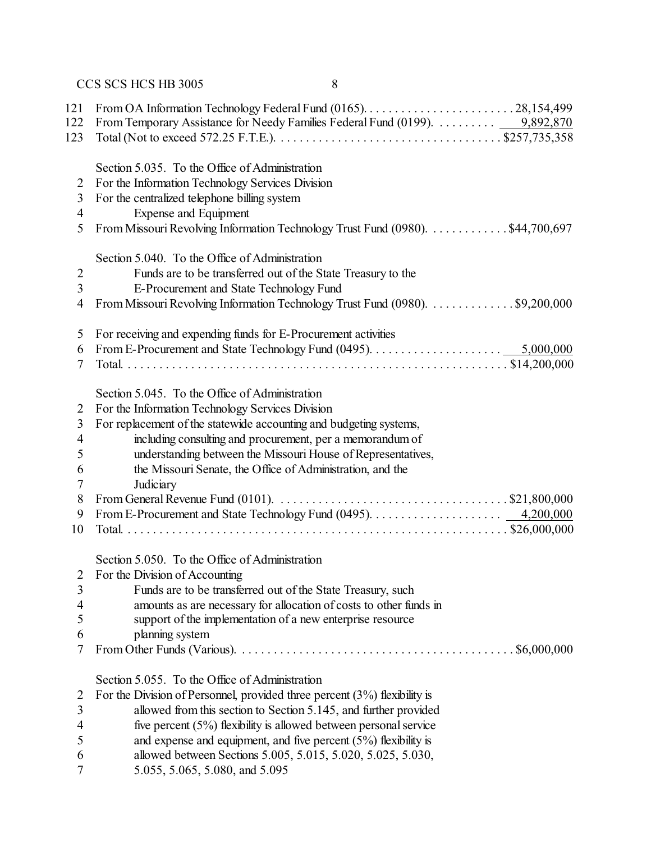| 121<br>122<br>123        | From Temporary Assistance for Needy Families Federal Fund (0199).  9,892,870                                                  |
|--------------------------|-------------------------------------------------------------------------------------------------------------------------------|
|                          |                                                                                                                               |
|                          | Section 5.035. To the Office of Administration                                                                                |
| $\overline{2}$           | For the Information Technology Services Division                                                                              |
| $\overline{3}$           | For the centralized telephone billing system                                                                                  |
| 4                        | Expense and Equipment                                                                                                         |
| 5                        | From Missouri Revolving Information Technology Trust Fund (0980). \$44,700,697                                                |
|                          | Section 5.040. To the Office of Administration                                                                                |
| $\overline{c}$           | Funds are to be transferred out of the State Treasury to the                                                                  |
| $\overline{3}$           | E-Procurement and State Technology Fund                                                                                       |
| $\overline{4}$           | From Missouri Revolving Information Technology Trust Fund (0980). \$9,200,000                                                 |
| 5                        | For receiving and expending funds for E-Procurement activities                                                                |
| 6                        |                                                                                                                               |
| 7                        |                                                                                                                               |
|                          | Section 5.045. To the Office of Administration                                                                                |
| 2                        | For the Information Technology Services Division                                                                              |
| $\mathfrak{Z}$           | For replacement of the statewide accounting and budgeting systems,                                                            |
| $\overline{4}$           | including consulting and procurement, per a memorandum of                                                                     |
| 5                        | understanding between the Missouri House of Representatives,                                                                  |
| 6                        | the Missouri Senate, the Office of Administration, and the                                                                    |
| 7                        | Judiciary                                                                                                                     |
| 8                        | From General Revenue Fund (0101). $\ldots \ldots \ldots \ldots \ldots \ldots \ldots \ldots \ldots \ldots \ldots$ \$21,800,000 |
| 9                        |                                                                                                                               |
| 10                       |                                                                                                                               |
|                          | Section 5.050. To the Office of Administration                                                                                |
| 2                        | For the Division of Accounting                                                                                                |
| 3                        | Funds are to be transferred out of the State Treasury, such                                                                   |
| $\overline{\mathcal{A}}$ | amounts as are necessary for allocation of costs to other funds in                                                            |
| 5                        | support of the implementation of a new enterprise resource                                                                    |
| 6                        | planning system                                                                                                               |
| $\overline{7}$           | \$6,000,000                                                                                                                   |
|                          | Section 5.055. To the Office of Administration                                                                                |
| $\overline{2}$           | For the Division of Personnel, provided three percent $(3%)$ flexibility is                                                   |
| $\overline{3}$           | allowed from this section to Section 5.145, and further provided                                                              |
| 4                        | five percent $(5\%)$ flexibility is allowed between personal service                                                          |
| 5                        | and expense and equipment, and five percent $(5%)$ flexibility is                                                             |
| 6                        | allowed between Sections 5.005, 5.015, 5.020, 5.025, 5.030,                                                                   |
| 7                        | 5.055, 5.065, 5.080, and 5.095                                                                                                |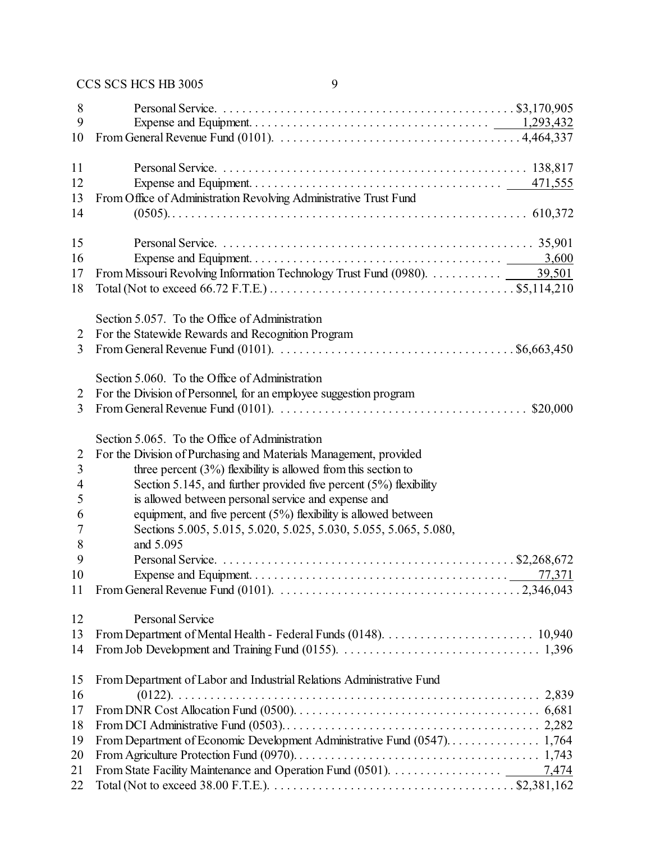| 8<br>9<br>10         |                                                                                                                                       |
|----------------------|---------------------------------------------------------------------------------------------------------------------------------------|
| 11<br>12<br>13<br>14 | From Office of Administration Revolving Administrative Trust Fund                                                                     |
|                      |                                                                                                                                       |
| 15                   |                                                                                                                                       |
| 16                   |                                                                                                                                       |
| 17                   |                                                                                                                                       |
| 18                   |                                                                                                                                       |
|                      | Section 5.057. To the Office of Administration                                                                                        |
| 2                    | For the Statewide Rewards and Recognition Program                                                                                     |
| $\overline{3}$       | From General Revenue Fund (0101). $\ldots \ldots \ldots \ldots \ldots \ldots \ldots \ldots \ldots \ldots \ldots \ldots$ \$6,663,450   |
|                      | Section 5.060. To the Office of Administration                                                                                        |
| 2                    | For the Division of Personnel, for an employee suggestion program                                                                     |
| 3                    | From General Revenue Fund (0101). $\ldots \ldots \ldots \ldots \ldots \ldots \ldots \ldots \ldots \ldots \ldots$ \$20,000             |
|                      |                                                                                                                                       |
|                      | Section 5.065. To the Office of Administration                                                                                        |
| $\overline{2}$       | For the Division of Purchasing and Materials Management, provided                                                                     |
| $\overline{3}$       | three percent $(3\%)$ flexibility is allowed from this section to                                                                     |
| $\overline{4}$       | Section 5.145, and further provided five percent $(5%)$ flexibility                                                                   |
| 5                    | is allowed between personal service and expense and                                                                                   |
| 6                    | equipment, and five percent $(5%)$ flexibility is allowed between                                                                     |
| 7                    | Sections 5.005, 5.015, 5.020, 5.025, 5.030, 5.055, 5.065, 5.080,                                                                      |
| 8                    | and 5.095                                                                                                                             |
| 9                    |                                                                                                                                       |
| 10                   |                                                                                                                                       |
| 11                   |                                                                                                                                       |
| 12                   | Personal Service                                                                                                                      |
| 13                   |                                                                                                                                       |
| 14                   |                                                                                                                                       |
| 15                   | From Department of Labor and Industrial Relations Administrative Fund                                                                 |
| 16                   |                                                                                                                                       |
| 17                   |                                                                                                                                       |
| 18                   |                                                                                                                                       |
| 19                   |                                                                                                                                       |
| 20                   |                                                                                                                                       |
| 21                   |                                                                                                                                       |
| 22                   | Total (Not to exceed 38.00 F.T.E.). $\dots \dots \dots \dots \dots \dots \dots \dots \dots \dots \dots \dots \dots \dots$ \$2,381,162 |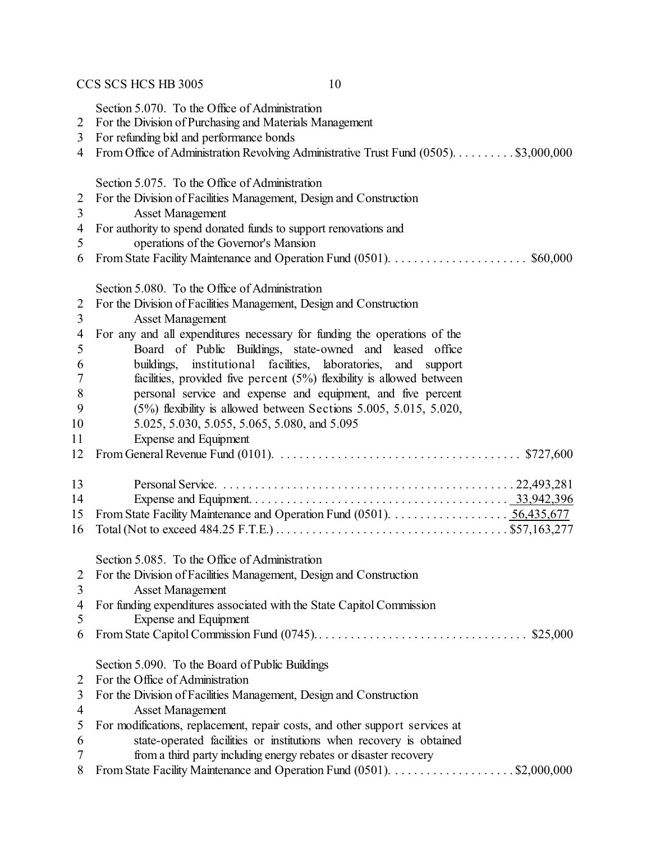Section 5.070. To the Office of Administration

- For the Division of Purchasing and Materials Management
- For refunding bid and performance bonds
- From Office of Administration Revolving Administrative Trust Fund (0505). . . . . . . . . . \$3,000,000

Section 5.075. To the Office of Administration

- For the Division of Facilities Management, Design and Construction
- Asset Management
- For authority to spend donated funds to support renovations and
- operations of the Governor's Mansion
- From State Facility Maintenance and Operation Fund (0501). . . . . . . . . . . . . . . . . . . . . . \$60,000

|                | Section 5.080. To the Office of Administration                                                                                    |
|----------------|-----------------------------------------------------------------------------------------------------------------------------------|
| 2              | For the Division of Facilities Management, Design and Construction                                                                |
| 3              | <b>Asset Management</b>                                                                                                           |
| 4              | For any and all expenditures necessary for funding the operations of the                                                          |
| 5              | Board of Public Buildings, state-owned and leased office                                                                          |
| 6              | buildings, institutional facilities, laboratories,<br>and<br>support                                                              |
| 7              | facilities, provided five percent $(5%)$ flexibility is allowed between                                                           |
| 8              | personal service and expense and equipment, and five percent                                                                      |
| 9              | $(5\%)$ flexibility is allowed between Sections 5.005, 5.015, 5.020,                                                              |
| 10             | 5.025, 5.030, 5.055, 5.065, 5.080, and 5.095                                                                                      |
| 11             | <b>Expense and Equipment</b>                                                                                                      |
| 12             | From General Revenue Fund (0101). $\ldots \ldots \ldots \ldots \ldots \ldots \ldots \ldots \ldots \ldots \ldots \ldots$ \$727,600 |
| 13             |                                                                                                                                   |
| 14             |                                                                                                                                   |
| 15             |                                                                                                                                   |
| 16             |                                                                                                                                   |
|                | Section 5.085. To the Office of Administration                                                                                    |
| 2              | For the Division of Facilities Management, Design and Construction                                                                |
| 3              | <b>Asset Management</b>                                                                                                           |
| 4              | For funding expenditures associated with the State Capitol Commission                                                             |
| 5              | <b>Expense and Equipment</b>                                                                                                      |
| 6              |                                                                                                                                   |
|                | Section 5.090. To the Board of Public Buildings                                                                                   |
| $\overline{2}$ | For the Office of Administration                                                                                                  |
| 3              | For the Division of Facilities Management, Design and Construction                                                                |
| $\overline{4}$ | <b>Asset Management</b>                                                                                                           |
| 5              | For modifications, replacement, repair costs, and other support services at                                                       |
| 6              | state-operated facilities or institutions when recovery is obtained                                                               |
| 7              | from a third party including energy rebates or disaster recovery                                                                  |
| 8              | From State Facility Maintenance and Operation Fund (0501). \$2,000,000                                                            |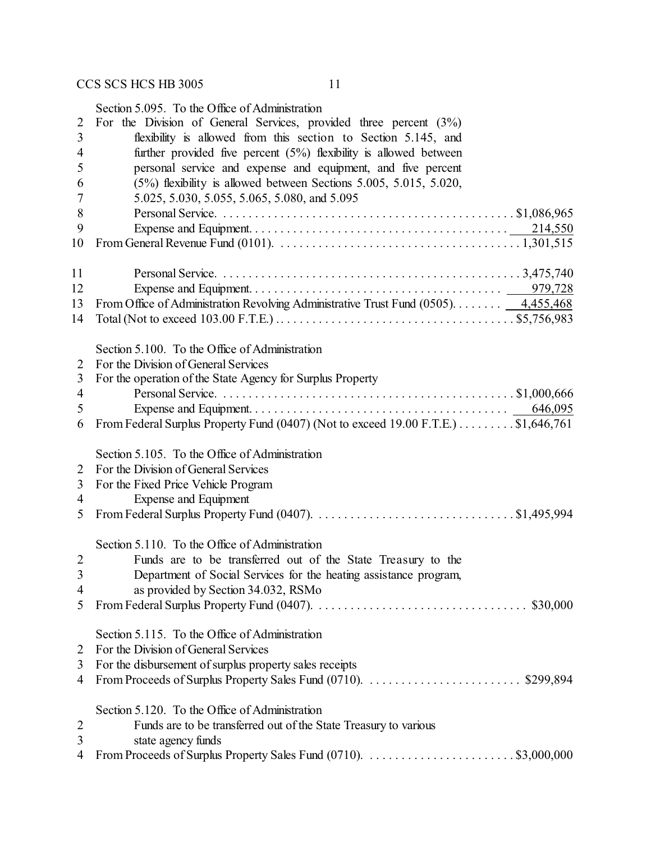Section 5.095. To the Office of Administration

| 2              | For the Division of General Services, provided three percent $(3%)$                                                                      |
|----------------|------------------------------------------------------------------------------------------------------------------------------------------|
| 3              | flexibility is allowed from this section to Section 5.145, and                                                                           |
| 4              | further provided five percent $(5%)$ flexibility is allowed between                                                                      |
| 5              | personal service and expense and equipment, and five percent                                                                             |
| 6              | $(5\%)$ flexibility is allowed between Sections 5.005, 5.015, 5.020,                                                                     |
| 7              | 5.025, 5.030, 5.055, 5.065, 5.080, and 5.095                                                                                             |
| 8              |                                                                                                                                          |
| 9              |                                                                                                                                          |
| 10             | From General Revenue Fund (0101). $\ldots \ldots \ldots \ldots \ldots \ldots \ldots \ldots \ldots \ldots \ldots \ldots \ldots 1,301,515$ |
|                |                                                                                                                                          |
| 11             |                                                                                                                                          |
| 12             |                                                                                                                                          |
| 13             | From Office of Administration Revolving Administrative Trust Fund (0505). $\frac{4,455,468}{2}$                                          |
| 14             |                                                                                                                                          |
|                | Section 5.100. To the Office of Administration                                                                                           |
| 2              | For the Division of General Services                                                                                                     |
| 3              | For the operation of the State Agency for Surplus Property                                                                               |
| 4              |                                                                                                                                          |
| 5              |                                                                                                                                          |
| 6              | From Federal Surplus Property Fund (0407) (Not to exceed 19.00 F.T.E.) $\dots \dots$ \$1,646,761                                         |
|                |                                                                                                                                          |
|                | Section 5.105. To the Office of Administration                                                                                           |
| $\overline{2}$ | For the Division of General Services                                                                                                     |
| 3              | For the Fixed Price Vehicle Program                                                                                                      |
| 4              | <b>Expense and Equipment</b>                                                                                                             |
| 5              |                                                                                                                                          |
|                |                                                                                                                                          |
|                | Section 5.110. To the Office of Administration                                                                                           |
| $\overline{2}$ | Funds are to be transferred out of the State Treasury to the                                                                             |
| 3              | Department of Social Services for the heating assistance program,                                                                        |
| 4              | as provided by Section 34.032, RSMo                                                                                                      |
| 5              |                                                                                                                                          |
|                | Section 5.115. To the Office of Administration                                                                                           |
| 2              | For the Division of General Services                                                                                                     |
| 3              | For the disbursement of surplus property sales receipts                                                                                  |
|                |                                                                                                                                          |
| 4              |                                                                                                                                          |
|                | Section 5.120. To the Office of Administration                                                                                           |
| $\overline{2}$ | Funds are to be transferred out of the State Treasury to various                                                                         |
| 3              | state agency funds                                                                                                                       |
| 4              |                                                                                                                                          |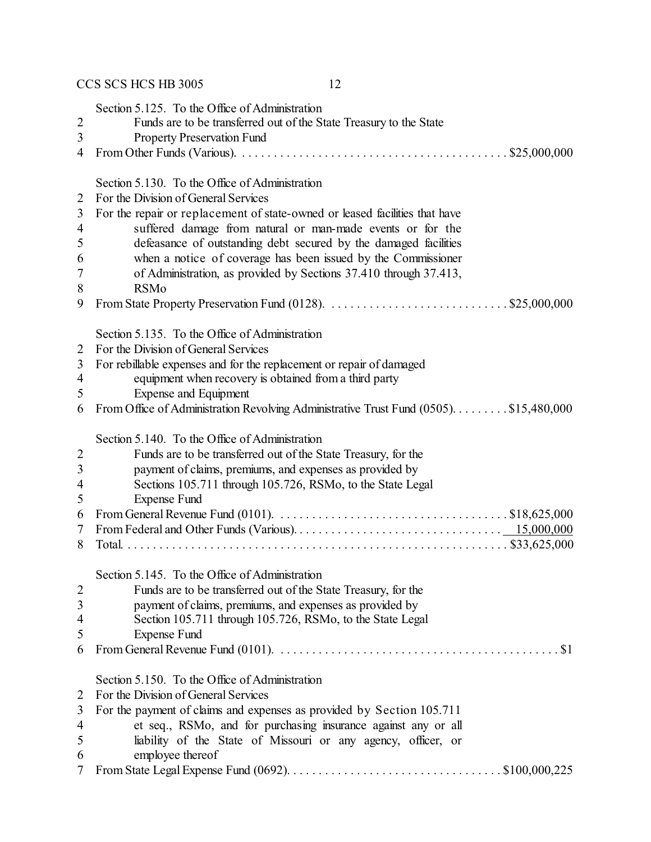Section 5.125. To the Office of Administration

- Funds are to be transferred out of the State Treasury to the State
- Property Preservation Fund
- From Other Funds (Various). . . . . . . . . . . . . . . . . . . . . . . . . . . . . . . . . . . . . . . . . . . \$25,000,000

Section 5.130. To the Office of Administration

- For the Division of General Services
- For the repair or replacement of state-owned or leased facilities that have suffered damage from natural or man-made events or for the defeasance of outstanding debt secured by the damaged facilities
- when a notice of coverage has been issued by the Commissioner
- of Administration, as provided by Sections 37.410 through 37.413,
- RSMo
- From State Property Preservation Fund (0128). . . . . . . . . . . . . . . . . . . . . . . . . . . . . \$25,000,000

Section 5.135. To the Office of Administration

- For the Division of General Services
- For rebillable expenses and for the replacement or repair of damaged
- equipment when recovery is obtained from a third party
- Expense and Equipment
- From Office of Administration Revolving Administrative Trust Fund (0505). . . . . . . . . \$15,480,000

Section 5.140. To the Office of Administration

| 2               | Funds are to be transferred out of the State Treasury, for the                                                                       |
|-----------------|--------------------------------------------------------------------------------------------------------------------------------------|
| $\overline{3}$  | payment of claims, premiums, and expenses as provided by                                                                             |
| $\overline{4}$  | Sections 105.711 through 105.726, RSMo, to the State Legal                                                                           |
| 5               | Expense Fund                                                                                                                         |
| 6               | From General Revenue Fund (0101). $\ldots \ldots \ldots \ldots \ldots \ldots \ldots \ldots \ldots \ldots \ldots \ldots$ \$18,625,000 |
| $7\overline{ }$ |                                                                                                                                      |
| 8               |                                                                                                                                      |
|                 | Section 5.145. To the Office of Administration                                                                                       |
| 2               | Funds are to be transferred out of the State Treasury, for the                                                                       |
| $\overline{3}$  | payment of claims, premiums, and expenses as provided by                                                                             |
| $\overline{4}$  | Section 105.711 through 105.726, RSMo, to the State Legal                                                                            |
| 5               | Expense Fund                                                                                                                         |
| 6               |                                                                                                                                      |
|                 |                                                                                                                                      |

#### Section 5.150. To the Office of Administration

|  |  | 2 For the Division of General Services |
|--|--|----------------------------------------|
|--|--|----------------------------------------|

|   | 3 For the payment of claims and expenses as provided by Section 105.711 |
|---|-------------------------------------------------------------------------|
| 4 | et seq., RSMo, and for purchasing insurance against any or all          |
| 5 | liability of the State of Missouri or any agency, officer, or           |
| 6 | employee thereof                                                        |
|   |                                                                         |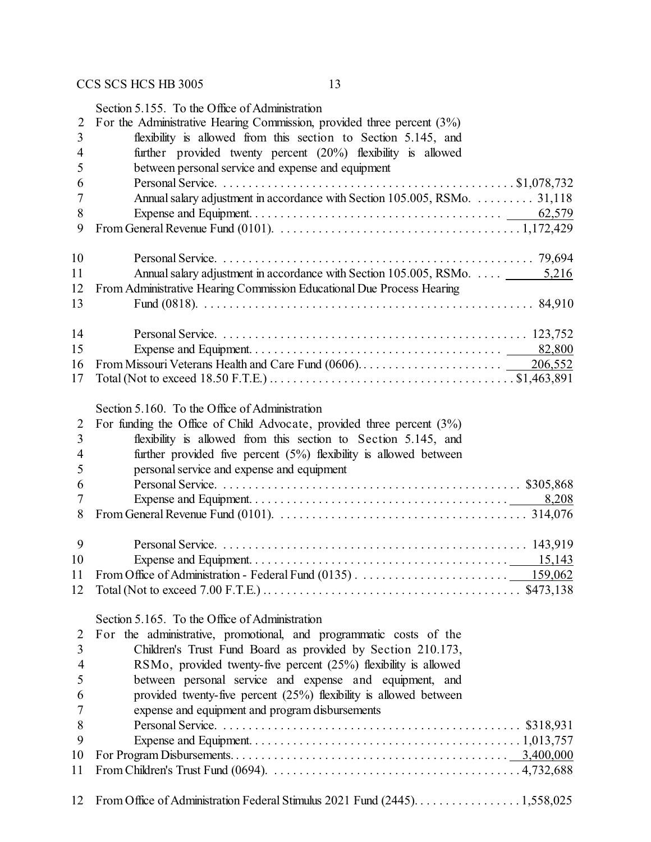|    | Section 5.155. To the Office of Administration                                                                                         |
|----|----------------------------------------------------------------------------------------------------------------------------------------|
| 2  | For the Administrative Hearing Commission, provided three percent $(3\%)$                                                              |
| 3  | flexibility is allowed from this section to Section 5.145, and                                                                         |
| 4  | further provided twenty percent (20%) flexibility is allowed                                                                           |
| 5  | between personal service and expense and equipment                                                                                     |
| 6  |                                                                                                                                        |
|    |                                                                                                                                        |
| 7  | Annual salary adjustment in accordance with Section 105.005, RSMo.  31,118                                                             |
| 8  |                                                                                                                                        |
| 9  |                                                                                                                                        |
|    |                                                                                                                                        |
| 10 |                                                                                                                                        |
| 11 | Annual salary adjustment in accordance with Section 105.005, RSMo.  5,216                                                              |
| 12 | From Administrative Hearing Commission Educational Due Process Hearing                                                                 |
| 13 |                                                                                                                                        |
|    |                                                                                                                                        |
| 14 |                                                                                                                                        |
| 15 |                                                                                                                                        |
| 16 |                                                                                                                                        |
| 17 |                                                                                                                                        |
|    |                                                                                                                                        |
|    |                                                                                                                                        |
|    | Section 5.160. To the Office of Administration                                                                                         |
| 2  | For funding the Office of Child Advocate, provided three percent $(3\%)$                                                               |
| 3  | flexibility is allowed from this section to Section 5.145, and                                                                         |
| 4  | further provided five percent $(5%)$ flexibility is allowed between                                                                    |
| 5  | personal service and expense and equipment                                                                                             |
| 6  |                                                                                                                                        |
| 7  |                                                                                                                                        |
| 8  | From General Revenue Fund (0101). $\ldots \ldots \ldots \ldots \ldots \ldots \ldots \ldots \ldots \ldots \ldots \ldots \ldots$ 314,076 |
|    |                                                                                                                                        |
| 9  |                                                                                                                                        |
| 10 |                                                                                                                                        |
|    |                                                                                                                                        |
| 11 |                                                                                                                                        |
| 12 |                                                                                                                                        |
|    |                                                                                                                                        |
|    | Section 5.165. To the Office of Administration                                                                                         |
| 2  | For the administrative, promotional, and programmatic costs of the                                                                     |
| 3  | Children's Trust Fund Board as provided by Section 210.173,                                                                            |
| 4  | RSMo, provided twenty-five percent (25%) flexibility is allowed                                                                        |
| 5  | between personal service and expense and equipment, and                                                                                |
| 6  | provided twenty-five percent $(25%)$ flexibility is allowed between                                                                    |
| 7  | expense and equipment and program disbursements                                                                                        |
| 8  |                                                                                                                                        |
|    |                                                                                                                                        |
| 9  |                                                                                                                                        |
| 10 |                                                                                                                                        |
| 11 |                                                                                                                                        |
|    |                                                                                                                                        |
| 12 |                                                                                                                                        |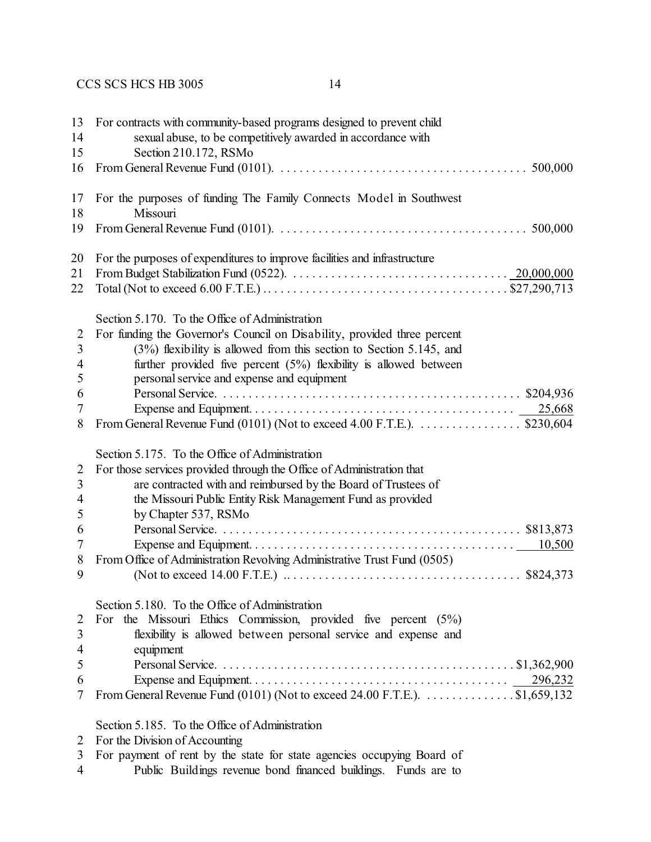| 13<br>14       | For contracts with community-based programs designed to prevent child<br>sexual abuse, to be competitively awarded in accordance with  |
|----------------|----------------------------------------------------------------------------------------------------------------------------------------|
| 15             | Section 210.172, RSMo                                                                                                                  |
| 16             |                                                                                                                                        |
|                |                                                                                                                                        |
| 17             | For the purposes of funding The Family Connects Model in Southwest                                                                     |
| 18             | Missouri                                                                                                                               |
| 19             | From General Revenue Fund (0101). $\ldots \ldots \ldots \ldots \ldots \ldots \ldots \ldots \ldots \ldots \ldots \ldots \ldots$ 500,000 |
| 20             | For the purposes of expenditures to improve facilities and infrastructure                                                              |
| 21             |                                                                                                                                        |
| 22             |                                                                                                                                        |
|                | Section 5.170. To the Office of Administration                                                                                         |
| $\overline{2}$ | For funding the Governor's Council on Disability, provided three percent                                                               |
| 3              | $(3%)$ flexibility is allowed from this section to Section 5.145, and                                                                  |
| 4              | further provided five percent $(5%)$ flexibility is allowed between                                                                    |
| 5              | personal service and expense and equipment                                                                                             |
| 6              |                                                                                                                                        |
| 7              |                                                                                                                                        |
| 8              | From General Revenue Fund (0101) (Not to exceed 4.00 F.T.E.). $\dots \dots \dots \dots$ \$230,604                                      |
|                | Section 5.175. To the Office of Administration                                                                                         |
| $\overline{2}$ | For those services provided through the Office of Administration that                                                                  |
| 3              | are contracted with and reimbursed by the Board of Trustees of                                                                         |
| 4              | the Missouri Public Entity Risk Management Fund as provided                                                                            |
| 5              | by Chapter 537, RSMo                                                                                                                   |
| 6              |                                                                                                                                        |
| 7              |                                                                                                                                        |
| 8              | From Office of Administration Revolving Administrative Trust Fund (0505)                                                               |
| 9              |                                                                                                                                        |
|                | Section 5.180. To the Office of Administration                                                                                         |
| $\overline{2}$ | For the Missouri Ethics Commission, provided five percent $(5\%)$                                                                      |
| 3              | flexibility is allowed between personal service and expense and                                                                        |
| 4              | equipment                                                                                                                              |
| 5              |                                                                                                                                        |
| 6              |                                                                                                                                        |
| 7              | From General Revenue Fund (0101) (Not to exceed 24.00 F.T.E.). $\dots \dots \dots \dots$ \$1,659,132                                   |
|                | Section 5.185. To the Office of Administration                                                                                         |

| $\overline{2}$ | For the Division of Accounting |  |
|----------------|--------------------------------|--|
|----------------|--------------------------------|--|

- For payment of rent by the state for state agencies occupying Board of
- Public Buildings revenue bond financed buildings. Funds are to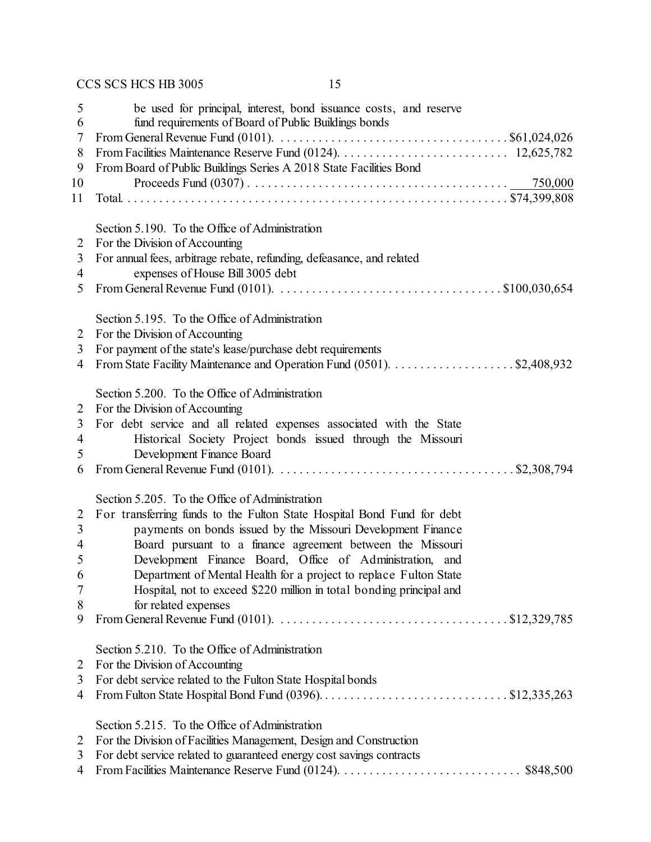| 5<br>6         | be used for principal, interest, bond issuance costs, and reserve<br>fund requirements of Board of Public Buildings bonds            |
|----------------|--------------------------------------------------------------------------------------------------------------------------------------|
| 7              | From General Revenue Fund (0101). $\ldots \ldots \ldots \ldots \ldots \ldots \ldots \ldots \ldots \ldots \ldots \ldots$ \$61,024,026 |
| 8              |                                                                                                                                      |
| 9              | From Board of Public Buildings Series A 2018 State Facilities Bond                                                                   |
| 10             |                                                                                                                                      |
| 11             |                                                                                                                                      |
|                |                                                                                                                                      |
|                | Section 5.190. To the Office of Administration                                                                                       |
| $\overline{2}$ | For the Division of Accounting                                                                                                       |
| 3              | For annual fees, arbitrage rebate, refunding, defeasance, and related                                                                |
| 4              | expenses of House Bill 3005 debt                                                                                                     |
| 5              |                                                                                                                                      |
|                |                                                                                                                                      |
|                | Section 5.195. To the Office of Administration                                                                                       |
| 2              | For the Division of Accounting                                                                                                       |
| 3              | For payment of the state's lease/purchase debt requirements                                                                          |
| 4              | From State Facility Maintenance and Operation Fund (0501). \$2,408,932                                                               |
|                |                                                                                                                                      |
|                | Section 5.200. To the Office of Administration                                                                                       |
| 2              | For the Division of Accounting                                                                                                       |
| 3              | For debt service and all related expenses associated with the State                                                                  |
| 4              | Historical Society Project bonds issued through the Missouri                                                                         |
| 5              | Development Finance Board                                                                                                            |
| 6              | From General Revenue Fund (0101). $\ldots \ldots \ldots \ldots \ldots \ldots \ldots \ldots \ldots \ldots$ \$2,308,794                |
|                |                                                                                                                                      |
|                | Section 5.205. To the Office of Administration                                                                                       |
| 2              | For transferring funds to the Fulton State Hospital Bond Fund for debt                                                               |
| 3              | payments on bonds issued by the Missouri Development Finance                                                                         |
| $\overline{4}$ | Board pursuant to a finance agreement between the Missouri                                                                           |
| 5              | Development Finance Board, Office of Administration, and                                                                             |
| 6              | Department of Mental Health for a project to replace Fulton State                                                                    |
| 7              | Hospital, not to exceed \$220 million in total bonding principal and                                                                 |
| 8              | for related expenses                                                                                                                 |
| 9              | From General Revenue Fund (0101). $\ldots \ldots \ldots \ldots \ldots \ldots \ldots \ldots \ldots \ldots \ldots \ldots$ \$12,329,785 |
|                |                                                                                                                                      |
|                | Section 5.210. To the Office of Administration                                                                                       |
| 2              | For the Division of Accounting                                                                                                       |
| 3              | For debt service related to the Fulton State Hospital bonds                                                                          |
| 4              |                                                                                                                                      |
|                |                                                                                                                                      |
|                | Section 5.215. To the Office of Administration                                                                                       |
| 2              | For the Division of Facilities Management, Design and Construction                                                                   |
| 3              | For debt service related to guaranteed energy cost savings contracts                                                                 |
| 4              |                                                                                                                                      |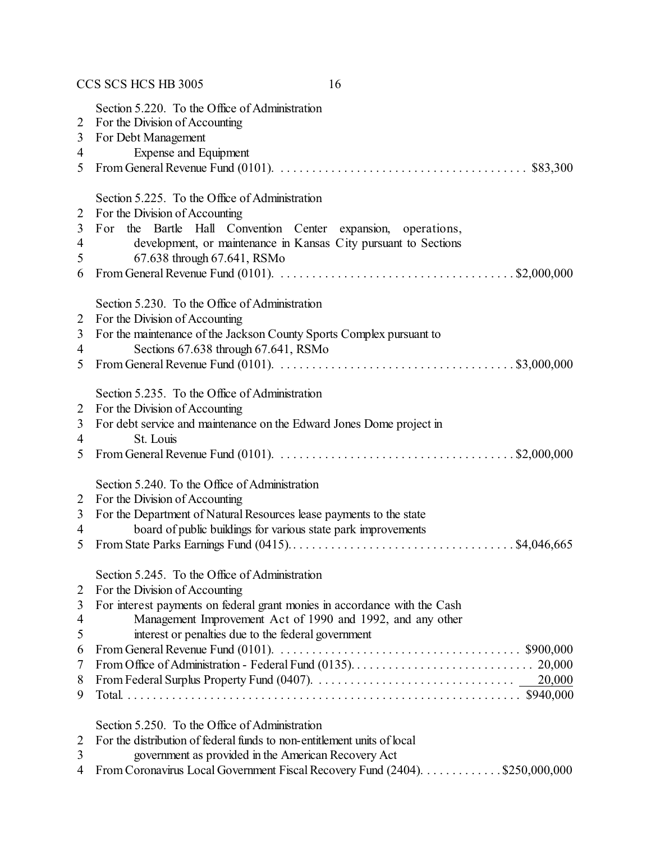|                                      | CCS SCS HCS HB 3005<br>16                                                                                                                                                                                                                                                                                                                                                                                        |
|--------------------------------------|------------------------------------------------------------------------------------------------------------------------------------------------------------------------------------------------------------------------------------------------------------------------------------------------------------------------------------------------------------------------------------------------------------------|
| 2<br>3<br>4<br>5                     | Section 5.220. To the Office of Administration<br>For the Division of Accounting<br>For Debt Management<br><b>Expense and Equipment</b><br>From General Revenue Fund (0101). $\ldots \ldots \ldots \ldots \ldots \ldots \ldots \ldots \ldots \ldots \ldots$ \$83,300                                                                                                                                             |
| 2<br>3<br>4<br>5<br>6                | Section 5.225. To the Office of Administration<br>For the Division of Accounting<br>For the Bartle Hall Convention Center expansion, operations,<br>development, or maintenance in Kansas City pursuant to Sections<br>67.638 through 67.641, RSMo<br>From General Revenue Fund (0101). $\ldots \ldots \ldots \ldots \ldots \ldots \ldots \ldots \ldots \ldots \ldots \ldots$ \$2,000,000                        |
| 2<br>3<br>4<br>5                     | Section 5.230. To the Office of Administration<br>For the Division of Accounting<br>For the maintenance of the Jackson County Sports Complex pursuant to<br>Sections 67.638 through 67.641, RSMo                                                                                                                                                                                                                 |
| 2<br>3<br>4<br>5                     | Section 5.235. To the Office of Administration<br>For the Division of Accounting<br>For debt service and maintenance on the Edward Jones Dome project in<br>St. Louis<br>From General Revenue Fund (0101). $\ldots \ldots \ldots \ldots \ldots \ldots \ldots \ldots \ldots \ldots \ldots$ \$2,000,000                                                                                                            |
| 2<br>3<br>4<br>5                     | Section 5.240. To the Office of Administration<br>For the Division of Accounting<br>For the Department of Natural Resources lease payments to the state<br>board of public buildings for various state park improvements                                                                                                                                                                                         |
| 2<br>3<br>4<br>5<br>6<br>7<br>8<br>9 | Section 5.245. To the Office of Administration<br>For the Division of Accounting<br>For interest payments on federal grant monies in accordance with the Cash<br>Management Improvement Act of 1990 and 1992, and any other<br>interest or penalties due to the federal government<br>From General Revenue Fund (0101). $\ldots \ldots \ldots \ldots \ldots \ldots \ldots \ldots \ldots \ldots \ldots$ \$900,000 |
| 2<br>3<br>4                          | Section 5.250. To the Office of Administration<br>For the distribution of federal funds to non-entitlement units of local<br>government as provided in the American Recovery Act<br>From Coronavirus Local Government Fiscal Recovery Fund (2404). \$250,000,000                                                                                                                                                 |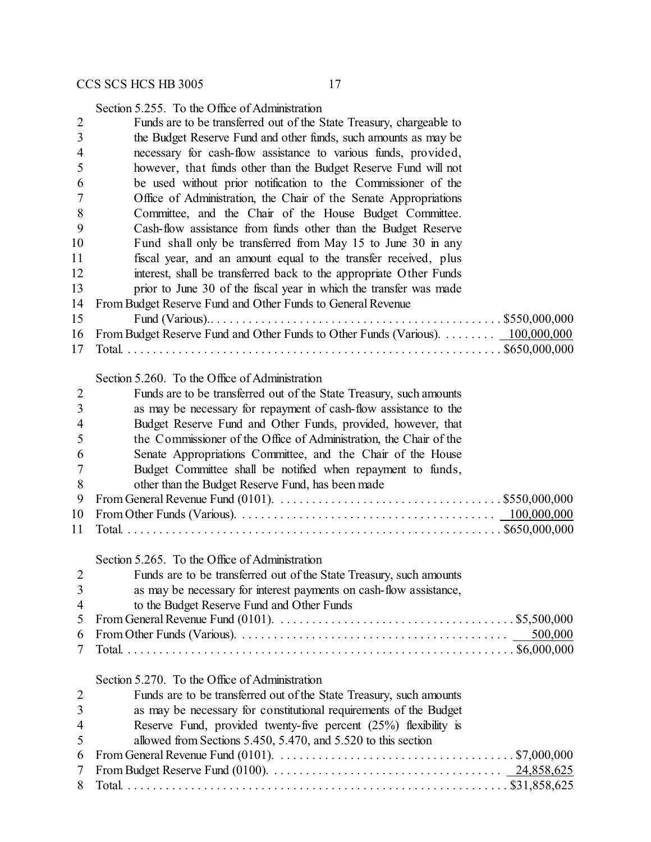Section 5.255. To the Office of Administration

| $\overline{2}$ | Funds are to be transferred out of the State Treasury, chargeable to                                                         |
|----------------|------------------------------------------------------------------------------------------------------------------------------|
| 3              | the Budget Reserve Fund and other funds, such amounts as may be                                                              |
| 4              | necessary for cash-flow assistance to various funds, provided,                                                               |
| 5              | however, that funds other than the Budget Reserve Fund will not                                                              |
| 6              | be used without prior notification to the Commissioner of the                                                                |
| 7              | Office of Administration, the Chair of the Senate Appropriations                                                             |
| 8              | Committee, and the Chair of the House Budget Committee.                                                                      |
| 9              | Cash-flow assistance from funds other than the Budget Reserve                                                                |
| 10             | Fund shall only be transferred from May 15 to June 30 in any                                                                 |
| 11             | fiscal year, and an amount equal to the transfer received, plus                                                              |
|                |                                                                                                                              |
| 12             | interest, shall be transferred back to the appropriate Other Funds                                                           |
| 13             | prior to June 30 of the fiscal year in which the transfer was made                                                           |
| 14             | From Budget Reserve Fund and Other Funds to General Revenue                                                                  |
| 15             |                                                                                                                              |
| 16             | From Budget Reserve Fund and Other Funds to Other Funds (Various).  100,000,000                                              |
| 17             |                                                                                                                              |
|                |                                                                                                                              |
|                | Section 5.260. To the Office of Administration                                                                               |
| $\overline{2}$ | Funds are to be transferred out of the State Treasury, such amounts                                                          |
| 3              | as may be necessary for repayment of cash-flow assistance to the                                                             |
| $\overline{4}$ | Budget Reserve Fund and Other Funds, provided, however, that                                                                 |
| 5              | the Commissioner of the Office of Administration, the Chair of the                                                           |
| 6              | Senate Appropriations Committee, and the Chair of the House                                                                  |
| 7              | Budget Committee shall be notified when repayment to funds,                                                                  |
| 8              | other than the Budget Reserve Fund, has been made                                                                            |
| 9              |                                                                                                                              |
| 10             |                                                                                                                              |
| 11             |                                                                                                                              |
|                |                                                                                                                              |
|                | Section 5.265. To the Office of Administration                                                                               |
| $\overline{2}$ | Funds are to be transferred out of the State Treasury, such amounts                                                          |
| 3              | as may be necessary for interest payments on cash-flow assistance,                                                           |
| 4              | to the Budget Reserve Fund and Other Funds                                                                                   |
| 5              |                                                                                                                              |
| 6              | 500,000                                                                                                                      |
| 7              |                                                                                                                              |
|                | Section 5.270. To the Office of Administration                                                                               |
|                |                                                                                                                              |
| $\overline{2}$ | Funds are to be transferred out of the State Treasury, such amounts                                                          |
| 3              | as may be necessary for constitutional requirements of the Budget                                                            |
| $\overline{4}$ | Reserve Fund, provided twenty-five percent $(25%)$ flexibility is                                                            |
| 5              | allowed from Sections 5.450, 5.470, and 5.520 to this section                                                                |
| 6              | From General Revenue Fund (0101). $\ldots \ldots \ldots \ldots \ldots \ldots \ldots \ldots \ldots \ldots \ldots$ \$7,000,000 |
| 7              |                                                                                                                              |
| 8              |                                                                                                                              |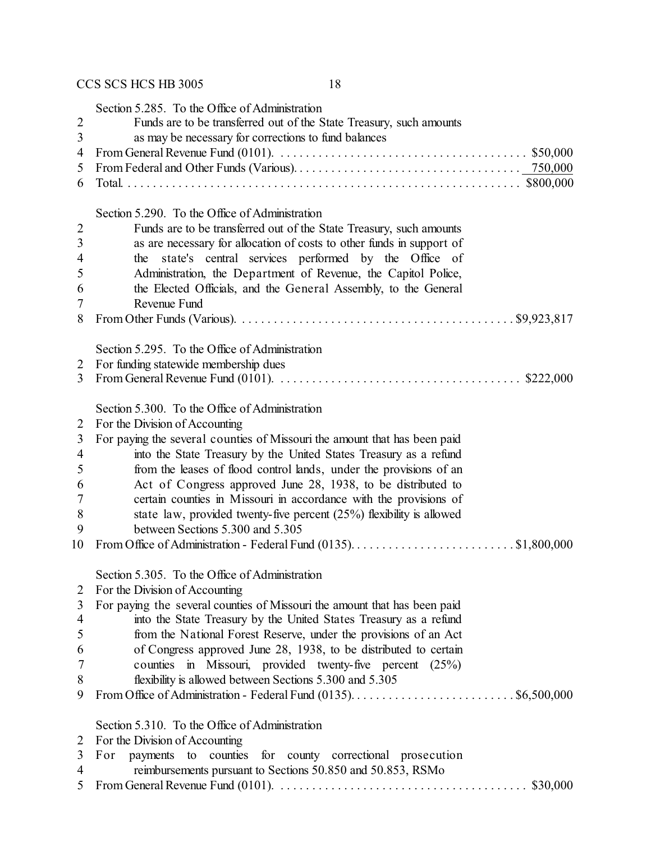|                | Section 5.285. To the Office of Administration                                                                                          |
|----------------|-----------------------------------------------------------------------------------------------------------------------------------------|
| $\overline{2}$ | Funds are to be transferred out of the State Treasury, such amounts                                                                     |
| 3              | as may be necessary for corrections to fund balances                                                                                    |
| 4              | From General Revenue Fund (0101). $\ldots \ldots \ldots \ldots \ldots \ldots \ldots \ldots \ldots \ldots \ldots \ldots \ldots$ \$50,000 |
| 5              |                                                                                                                                         |
| 6              |                                                                                                                                         |
|                |                                                                                                                                         |
|                | Section 5.290. To the Office of Administration                                                                                          |
| $\overline{2}$ | Funds are to be transferred out of the State Treasury, such amounts                                                                     |
| 3              | as are necessary for allocation of costs to other funds in support of                                                                   |
| $\overline{4}$ | state's central services performed by the Office of<br>the                                                                              |
| 5              | Administration, the Department of Revenue, the Capitol Police,                                                                          |
| 6              | the Elected Officials, and the General Assembly, to the General                                                                         |
| 7              | Revenue Fund                                                                                                                            |
| 8              |                                                                                                                                         |
|                |                                                                                                                                         |
|                | Section 5.295. To the Office of Administration                                                                                          |
| 2              | For funding statewide membership dues                                                                                                   |
| 3              | From General Revenue Fund (0101). $\ldots \ldots \ldots \ldots \ldots \ldots \ldots \ldots \ldots \ldots \ldots$ \$222,000              |
|                |                                                                                                                                         |
|                | Section 5.300. To the Office of Administration                                                                                          |
| 2              | For the Division of Accounting                                                                                                          |
| 3              | For paying the several counties of Missouri the amount that has been paid                                                               |
| 4              | into the State Treasury by the United States Treasury as a refund                                                                       |
| 5              | from the leases of flood control lands, under the provisions of an                                                                      |
| 6              | Act of Congress approved June 28, 1938, to be distributed to                                                                            |
| 7              | certain counties in Missouri in accordance with the provisions of                                                                       |
| 8              | state law, provided twenty-five percent $(25%)$ flexibility is allowed                                                                  |
| 9              | between Sections 5.300 and 5.305                                                                                                        |
| 10             |                                                                                                                                         |
|                | Section 5.305. To the Office of Administration                                                                                          |
| $\overline{2}$ | For the Division of Accounting                                                                                                          |
| 3              | For paying the several counties of Missouri the amount that has been paid                                                               |
| 4              | into the State Treasury by the United States Treasury as a refund                                                                       |
| 5              | from the National Forest Reserve, under the provisions of an Act                                                                        |
| 6              | of Congress approved June 28, 1938, to be distributed to certain                                                                        |
| 7              | counties in Missouri, provided twenty-five percent (25%)                                                                                |
| 8              | flexibility is allowed between Sections 5.300 and 5.305                                                                                 |
| 9              |                                                                                                                                         |
|                |                                                                                                                                         |
|                | Section 5.310. To the Office of Administration                                                                                          |
| 2              | For the Division of Accounting                                                                                                          |
| 3              | counties for county correctional prosecution<br>For<br>payments<br>to                                                                   |
| 4              | reimbursements pursuant to Sections 50.850 and 50.853, RSMo                                                                             |

From General Revenue Fund (0101). . . . . . . . . . . . . . . . . . . . . . . . . . . . . . . . . . . . . . . . \$30,000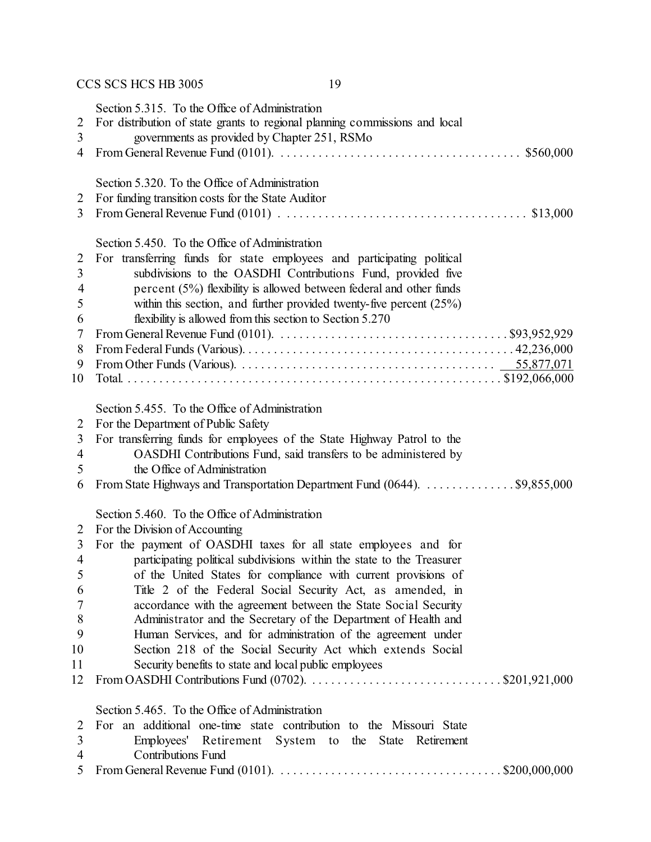|                     | CCS SCS HCS HB 3005<br>19                                                                                                                                                     |
|---------------------|-------------------------------------------------------------------------------------------------------------------------------------------------------------------------------|
| $\overline{2}$<br>3 | Section 5.315. To the Office of Administration<br>For distribution of state grants to regional planning commissions and local<br>governments as provided by Chapter 251, RSMo |
| 4                   | From General Revenue Fund (0101). $\ldots \ldots \ldots \ldots \ldots \ldots \ldots \ldots \ldots \ldots \ldots$ \$560,000                                                    |
|                     | Section 5.320. To the Office of Administration                                                                                                                                |
| 2                   | For funding transition costs for the State Auditor                                                                                                                            |
| 3                   |                                                                                                                                                                               |
|                     | Section 5.450. To the Office of Administration                                                                                                                                |
| 2                   | For transferring funds for state employees and participating political                                                                                                        |
| 3                   | subdivisions to the OASDHI Contributions Fund, provided five                                                                                                                  |
| 4                   | percent (5%) flexibility is allowed between federal and other funds                                                                                                           |
| 5                   | within this section, and further provided twenty-five percent $(25%)$                                                                                                         |
| 6                   | flexibility is allowed from this section to Section 5.270                                                                                                                     |
| 7                   | From General Revenue Fund (0101). $\ldots \ldots \ldots \ldots \ldots \ldots \ldots \ldots \ldots \ldots \ldots$ \$93,952,929                                                 |
| 8                   |                                                                                                                                                                               |
| 9                   |                                                                                                                                                                               |
| 10                  |                                                                                                                                                                               |
|                     | Section 5.455. To the Office of Administration                                                                                                                                |
| 2                   | For the Department of Public Safety                                                                                                                                           |
| 3                   | For transferring funds for employees of the State Highway Patrol to the                                                                                                       |
| 4                   | OASDHI Contributions Fund, said transfers to be administered by                                                                                                               |
| 5                   | the Office of Administration                                                                                                                                                  |
| 6                   | From State Highways and Transportation Department Fund (0644). \$9,855,000                                                                                                    |
|                     | Section 5.460. To the Office of Administration                                                                                                                                |
| 2                   | For the Division of Accounting                                                                                                                                                |
| 3                   | For the payment of OASDHI taxes for all state employees and for                                                                                                               |
| $\overline{4}$      | participating political subdivisions within the state to the Treasurer                                                                                                        |
| 5                   | of the United States for compliance with current provisions of                                                                                                                |
| 6                   | Title 2 of the Federal Social Security Act, as amended, in                                                                                                                    |
| 7                   | accordance with the agreement between the State Social Security                                                                                                               |
| 8                   | Administrator and the Secretary of the Department of Health and                                                                                                               |
| 9                   | Human Services, and for administration of the agreement under                                                                                                                 |
| 10                  | Section 218 of the Social Security Act which extends Social                                                                                                                   |
| 11                  | Security benefits to state and local public employees                                                                                                                         |
| 12                  |                                                                                                                                                                               |
|                     | Section 5.465. To the Office of Administration                                                                                                                                |
| 2                   | For an additional one-time state contribution to the Missouri State                                                                                                           |
| 3                   | Employees'<br>Retirement System to the State Retirement                                                                                                                       |
| 4                   | <b>Contributions Fund</b>                                                                                                                                                     |
| 5                   | From General Revenue Fund (0101). $\ldots \ldots \ldots \ldots \ldots \ldots \ldots \ldots \ldots \ldots \ldots$ \$200,000,000                                                |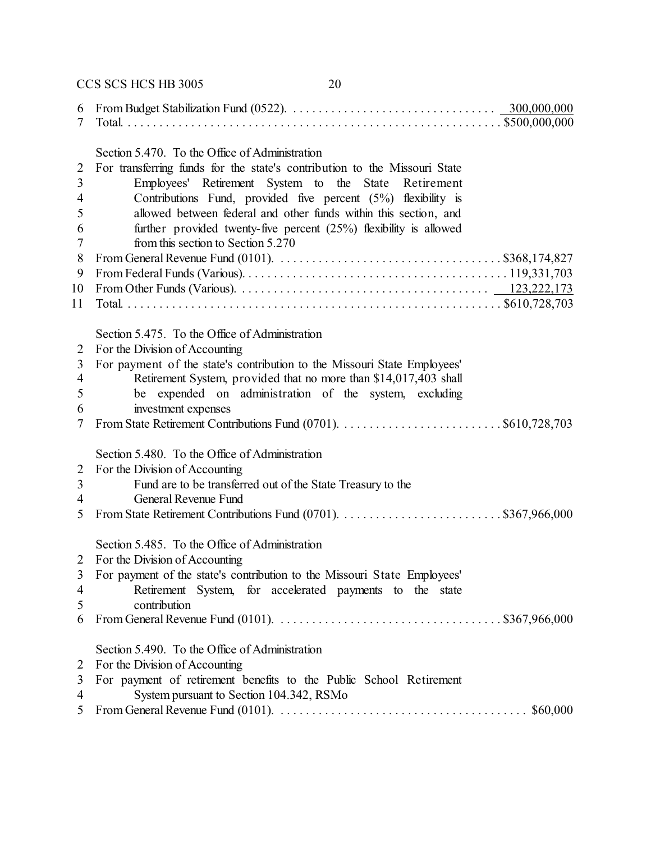CCS SCS HCS HB 3005 20 From Budget Stabilization Fund (0522). . . . . . . . . . . . . . . . . . . . . . . . . . . . . . . . . 300,000,000 Total. . . . . . . . . . . . . . . . . . . . . . . . . . . . . . . . . . . . . . . . . . . . . . . . . . . . . . . . . . . . \$500,000,000 Section 5.470. To the Office of Administration For transferring funds for the state's contribution to the Missouri State Employees' Retirement System to the State Retirement Contributions Fund, provided five percent (5%) flexibility is allowed between federal and other funds within this section, and further provided twenty-five percent (25%) flexibility is allowed from this section to Section 5.270 From General Revenue Fund (0101). . . . . . . . . . . . . . . . . . . . . . . . . . . . . . . . . . . . \$368,174,827 From Federal Funds (Various). . . . . . . . . . . . . . . . . . . . . . . . . . . . . . . . . . . . . . . . . . 119,331,703 From Other Funds (Various). . . . . . . . . . . . . . . . . . . . . . . . . . . . . . . . . . . . . . . . 123,222,173 Total. . . . . . . . . . . . . . . . . . . . . . . . . . . . . . . . . . . . . . . . . . . . . . . . . . . . . . . . . . . . \$610,728,703 Section 5.475. To the Office of Administration For the Division of Accounting For payment of the state's contribution to the Missouri State Employees' Retirement System, provided that no more than \$14,017,403 shall be expended on administration of the system, excluding investment expenses From State Retirement Contributions Fund (0701). . . . . . . . . . . . . . . . . . . . . . . . . . \$610,728,703 Section 5.480. To the Office of Administration For the Division of Accounting Fund are to be transferred out of the State Treasury to the General Revenue Fund From State Retirement Contributions Fund (0701). . . . . . . . . . . . . . . . . . . . . . . . . . \$367,966,000 Section 5.485. To the Office of Administration For the Division of Accounting For payment of the state's contribution to the Missouri State Employees' Retirement System, for accelerated payments to the state contribution From General Revenue Fund (0101). . . . . . . . . . . . . . . . . . . . . . . . . . . . . . . . . . . . \$367,966,000 Section 5.490. To the Office of Administration For the Division of Accounting For payment of retirement benefits to the Public School Retirement System pursuant to Section 104.342, RSMo From General Revenue Fund (0101). . . . . . . . . . . . . . . . . . . . . . . . . . . . . . . . . . . . . . . . \$60,000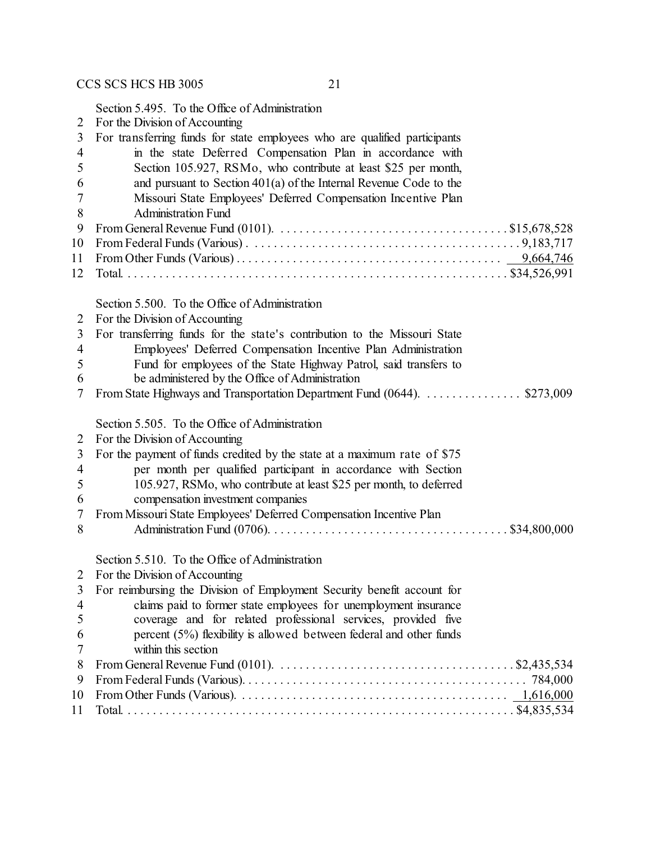Section 5.495. To the Office of Administration

| $\overline{2}$ | For the Division of Accounting                                                                                                       |
|----------------|--------------------------------------------------------------------------------------------------------------------------------------|
| 3              | For transferring funds for state employees who are qualified participants                                                            |
| 4              | in the state Deferred Compensation Plan in accordance with                                                                           |
| 5              | Section 105.927, RSMo, who contribute at least \$25 per month,                                                                       |
| 6              | and pursuant to Section $401(a)$ of the Internal Revenue Code to the                                                                 |
| 7              | Missouri State Employees' Deferred Compensation Incentive Plan                                                                       |
| 8              | <b>Administration Fund</b>                                                                                                           |
| 9              | From General Revenue Fund (0101). $\ldots \ldots \ldots \ldots \ldots \ldots \ldots \ldots \ldots \ldots \ldots \ldots$ \$15,678,528 |
| 10             |                                                                                                                                      |
| 11             |                                                                                                                                      |
| 12             |                                                                                                                                      |
|                |                                                                                                                                      |
|                | Section 5.500. To the Office of Administration                                                                                       |
| 2              | For the Division of Accounting                                                                                                       |
| 3              | For transferring funds for the state's contribution to the Missouri State                                                            |
| 4              | Employees' Deferred Compensation Incentive Plan Administration                                                                       |
| 5              | Fund for employees of the State Highway Patrol, said transfers to                                                                    |
| 6              | be administered by the Office of Administration                                                                                      |
| 7              | From State Highways and Transportation Department Fund (0644). \$273,009                                                             |
|                | Section 5.505. To the Office of Administration                                                                                       |
| 2              | For the Division of Accounting                                                                                                       |
| 3              | For the payment of funds credited by the state at a maximum rate of \$75                                                             |
| 4              | per month per qualified participant in accordance with Section                                                                       |
| 5              | 105.927, RSMo, who contribute at least \$25 per month, to deferred                                                                   |
| 6              | compensation investment companies                                                                                                    |
| 7              | From Missouri State Employees' Deferred Compensation Incentive Plan                                                                  |
| 8              |                                                                                                                                      |
|                | Section 5.510. To the Office of Administration                                                                                       |
|                |                                                                                                                                      |
|                | 2 For the Division of Accounting                                                                                                     |
| 3              | For reimbursing the Division of Employment Security benefit account for                                                              |
| 4<br>5         | claims paid to former state employees for unemployment insurance<br>coverage and for related professional services, provided five    |
|                |                                                                                                                                      |
| 6<br>7         | percent (5%) flexibility is allowed between federal and other funds<br>within this section                                           |
|                | From General Revenue Fund (0101). $\ldots \ldots \ldots \ldots \ldots \ldots \ldots \ldots \ldots \ldots \ldots$ \$2,435,534         |
| 8<br>9         |                                                                                                                                      |
| 10             |                                                                                                                                      |
|                |                                                                                                                                      |
| 11             |                                                                                                                                      |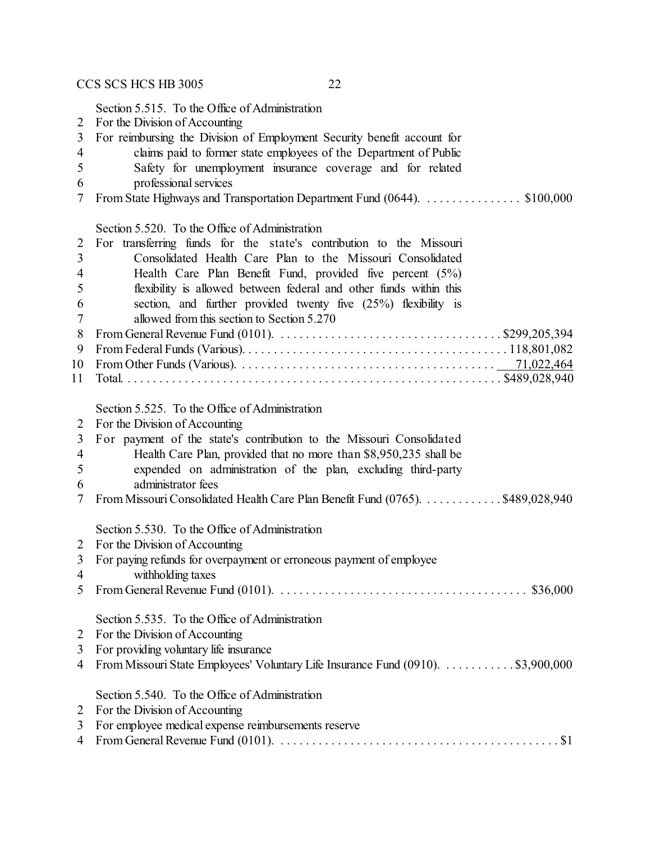Section 5.515. To the Office of Administration

- For the Division of Accounting
- For reimbursing the Division of Employment Security benefit account for
- claims paid to former state employees of the Department of Public
- Safety for unemployment insurance coverage and for related
- professional services
- From State Highways and Transportation Department Fund (0644). . . . . . . . . . . . . . . . \$100,000

|                | Section 5.520. To the Office of Administration                                                                                   |
|----------------|----------------------------------------------------------------------------------------------------------------------------------|
| $\overline{2}$ | For transferring funds for the state's contribution to the Missouri                                                              |
| 3              | Consolidated Health Care Plan to the Missouri Consolidated                                                                       |
| 4              | Health Care Plan Benefit Fund, provided five percent $(5\%)$                                                                     |
| 5              | flexibility is allowed between federal and other funds within this                                                               |
| 6              | section, and further provided twenty five (25%) flexibility is                                                                   |
| 7              | allowed from this section to Section 5.270                                                                                       |
| 8              | From General Revenue Fund (0101). $\dots \dots \dots \dots \dots \dots \dots \dots \dots \dots \dots \dots \dots$ \$299,205,394  |
| 9              |                                                                                                                                  |
| 10             |                                                                                                                                  |
| 11             |                                                                                                                                  |
|                |                                                                                                                                  |
|                | Section 5.525. To the Office of Administration                                                                                   |
| $\overline{2}$ | For the Division of Accounting                                                                                                   |
| 3              | For payment of the state's contribution to the Missouri Consolidated                                                             |
| $\overline{4}$ | Health Care Plan, provided that no more than \$8,950,235 shall be                                                                |
| 5              | expended on administration of the plan, excluding third-party                                                                    |
| 6              | administrator fees                                                                                                               |
| 7              | From Missouri Consolidated Health Care Plan Benefit Fund (0765). \$489,028,940                                                   |
|                | Section 5.530. To the Office of Administration                                                                                   |
| 2              | For the Division of Accounting                                                                                                   |
| 3              | For paying refunds for overpayment or erroneous payment of employee                                                              |
| 4              | withholding taxes                                                                                                                |
| 5              | From General Revenue Fund (0101). $\ldots \ldots \ldots \ldots \ldots \ldots \ldots \ldots \ldots \ldots \ldots \ldots$ \$36,000 |
|                |                                                                                                                                  |
|                | Section 5.535. To the Office of Administration                                                                                   |
| 2              | For the Division of Accounting                                                                                                   |
| 3              | For providing voluntary life insurance                                                                                           |
| 4              | From Missouri State Employees' Voluntary Life Insurance Fund (0910). \$3,900,000                                                 |
|                |                                                                                                                                  |
|                | Section 5.540. To the Office of Administration                                                                                   |
| 2              | For the Division of Accounting                                                                                                   |
| 3              | For employee medical expense reimbursements reserve                                                                              |
| $\overline{4}$ |                                                                                                                                  |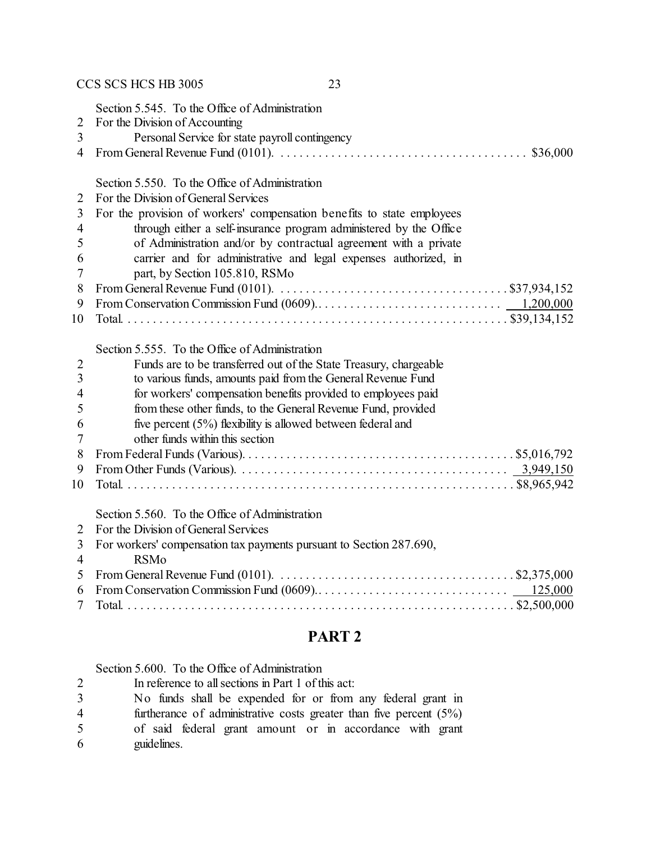## CCS SCS HCS HB 3005 23 Section 5.545. To the Office of Administration For the Division of Accounting Personal Service for state payroll contingency From General Revenue Fund (0101). . . . . . . . . . . . . . . . . . . . . . . . . . . . . . . . . . . . . . . . \$36,000 Section 5.550. To the Office of Administration For the Division of General Services For the provision of workers' compensation benefits to state employees through either a self-insurance program administered by the Office of Administration and/or by contractual agreement with a private carrier and for administrative and legal expenses authorized, in part, by Section 105.810, RSMo From General Revenue Fund (0101). . . . . . . . . . . . . . . . . . . . . . . . . . . . . . . . . . . . . \$37,934,152 From Conservation Commission Fund (0609).. . . . . . . . . . . . . . . . . . . . . . . . . . . . . 1,200,000 Total. . . . . . . . . . . . . . . . . . . . . . . . . . . . . . . . . . . . . . . . . . . . . . . . . . . . . . . . . . . . . \$39,134,152 Section 5.555. To the Office of Administration Funds are to be transferred out of the State Treasury, chargeable to various funds, amounts paid from the General Revenue Fund for workers' compensation benefits provided to employees paid from these other funds, to the General Revenue Fund, provided five percent (5%) flexibility is allowed between federal and other funds within this section From Federal Funds (Various). . . . . . . . . . . . . . . . . . . . . . . . . . . . . . . . . . . . . . . . . . . \$5,016,792 From Other Funds (Various). . . . . . . . . . . . . . . . . . . . . . . . . . . . . . . . . . . . . . . . . . . 3,949,150 Total. . . . . . . . . . . . . . . . . . . . . . . . . . . . . . . . . . . . . . . . . . . . . . . . . . . . . . . . . . . . . . \$8,965,942 Section 5.560. To the Office of Administration For the Division of General Services For workers' compensation tax payments pursuant to Section 287.690, RSMo From General Revenue Fund (0101). . . . . . . . . . . . . . . . . . . . . . . . . . . . . . . . . . . . . . \$2,375,000 From Conservation Commission Fund (0609).. . . . . . . . . . . . . . . . . . . . . . . . . . . . . . 125,000 Total. . . . . . . . . . . . . . . . . . . . . . . . . . . . . . . . . . . . . . . . . . . . . . . . . . . . . . . . . . . . . . \$2,500,000

#### **PART 2**

Section 5.600. To the Office of Administration

- In reference to all sections in Part 1 of this act:
- No funds shall be expended for or from any federal grant in
- furtherance of administrative costs greater than five percent (5%)
- of said federal grant amount or in accordance with grant guidelines.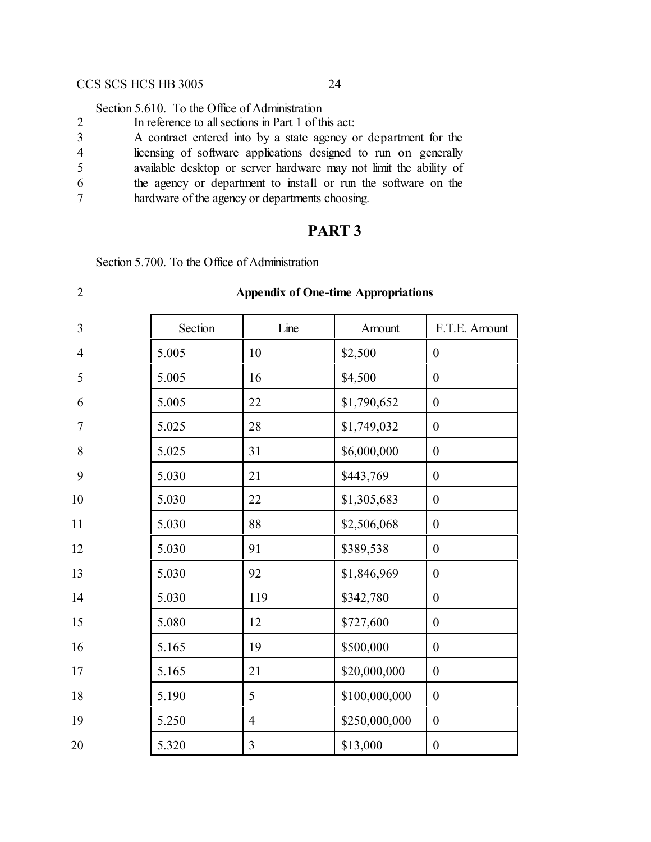Section 5.610. To the Office of Administration

| In reference to all sections in Part 1 of this act:             |
|-----------------------------------------------------------------|
| A contract entered into by a state agency or department for the |

licensing of software applications designed to run on generally

available desktop or server hardware may not limit the ability of

the agency or department to install or run the software on the

hardware of the agency or departments choosing.

## **PART 3**

Section 5.700. To the Office of Administration

| $\sqrt{2}$     |         | <b>Appendix of One-time Appropriations</b> |               |                  |  |  |
|----------------|---------|--------------------------------------------|---------------|------------------|--|--|
| 3              | Section | Line                                       | Amount        | F.T.E. Amount    |  |  |
| $\overline{4}$ | 5.005   | 10                                         | \$2,500       | $\boldsymbol{0}$ |  |  |
| 5              | 5.005   | 16                                         | \$4,500       | $\mathbf{0}$     |  |  |
| 6              | 5.005   | 22                                         | \$1,790,652   | $\mathbf{0}$     |  |  |
| $\overline{7}$ | 5.025   | 28                                         | \$1,749,032   | $\boldsymbol{0}$ |  |  |
| 8              | 5.025   | 31                                         | \$6,000,000   | $\mathbf{0}$     |  |  |
| 9              | 5.030   | 21                                         | \$443,769     | $\mathbf{0}$     |  |  |
| 10             | 5.030   | 22                                         | \$1,305,683   | $\boldsymbol{0}$ |  |  |
| 11             | 5.030   | 88                                         | \$2,506,068   | $\boldsymbol{0}$ |  |  |
| 12             | 5.030   | 91                                         | \$389,538     | $\boldsymbol{0}$ |  |  |
| 13             | 5.030   | 92                                         | \$1,846,969   | $\boldsymbol{0}$ |  |  |
| 14             | 5.030   | 119                                        | \$342,780     | $\boldsymbol{0}$ |  |  |
| 15             | 5.080   | 12                                         | \$727,600     | $\boldsymbol{0}$ |  |  |
| 16             | 5.165   | 19                                         | \$500,000     | $\boldsymbol{0}$ |  |  |
| 17             | 5.165   | 21                                         | \$20,000,000  | $\boldsymbol{0}$ |  |  |
| 18             | 5.190   | 5                                          | \$100,000,000 | $\boldsymbol{0}$ |  |  |
| 19             | 5.250   | $\overline{4}$                             | \$250,000,000 | $\boldsymbol{0}$ |  |  |
| 20             | 5.320   | $\overline{3}$                             | \$13,000      | $\boldsymbol{0}$ |  |  |